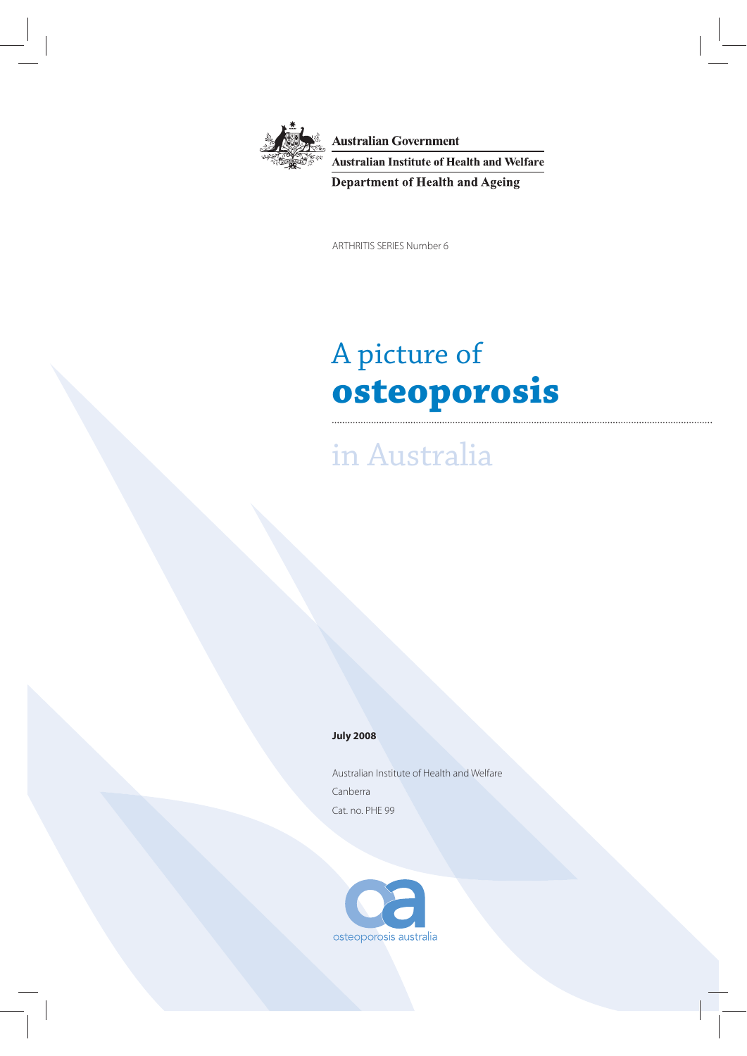

**Australian Government Australian Institute of Health and Welfare Department of Health and Ageing** 

ARTHRITIS SERIES Number 6

# A picture of **osteoporosis**

in Australia

#### **July 2008**

Australian Institute of Health and Welfare Canberra Cat. no. PHE 99

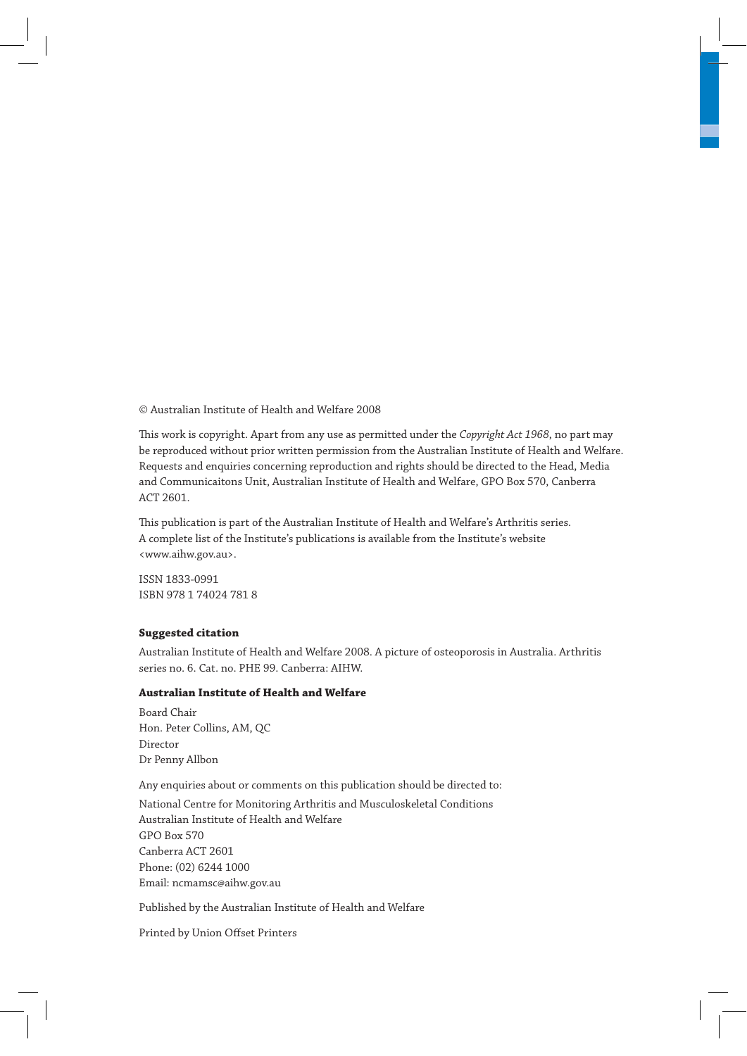© Australian Institute of Health and Welfare 2008

This work is copyright. Apart from any use as permitted under the *Copyright Act 1968*, no part may be reproduced without prior written permission from the Australian Institute of Health and Welfare. Requests and enquiries concerning reproduction and rights should be directed to the Head, Media and Communicaitons Unit, Australian Institute of Health and Welfare, GPO Box 570, Canberra ACT 2601.

This publication is part of the Australian Institute of Health and Welfare's Arthritis series. A complete list of the Institute's publications is available from the Institute's website <www.aihw.gov.au>.

ISSN 1833-0991 ISBN 978 1 74024 781 8

#### **Suggested citation**

Australian Institute of Health and Welfare 2008. A picture of osteoporosis in Australia. Arthritis series no. 6. Cat. no. PHE 99. Canberra: AIHW.

#### **Australian Institute of Health and Welfare**

Board Chair Hon. Peter Collins, AM, QC Director Dr Penny Allbon

Any enquiries about or comments on this publication should be directed to:

National Centre for Monitoring Arthritis and Musculoskeletal Conditions Australian Institute of Health and Welfare GPO Box 570 Canberra ACT 2601 Phone: (02) 6244 1000 Email: ncmamsc@aihw.gov.au

Published by the Australian Institute of Health and Welfare

Printed by Union Offset Printers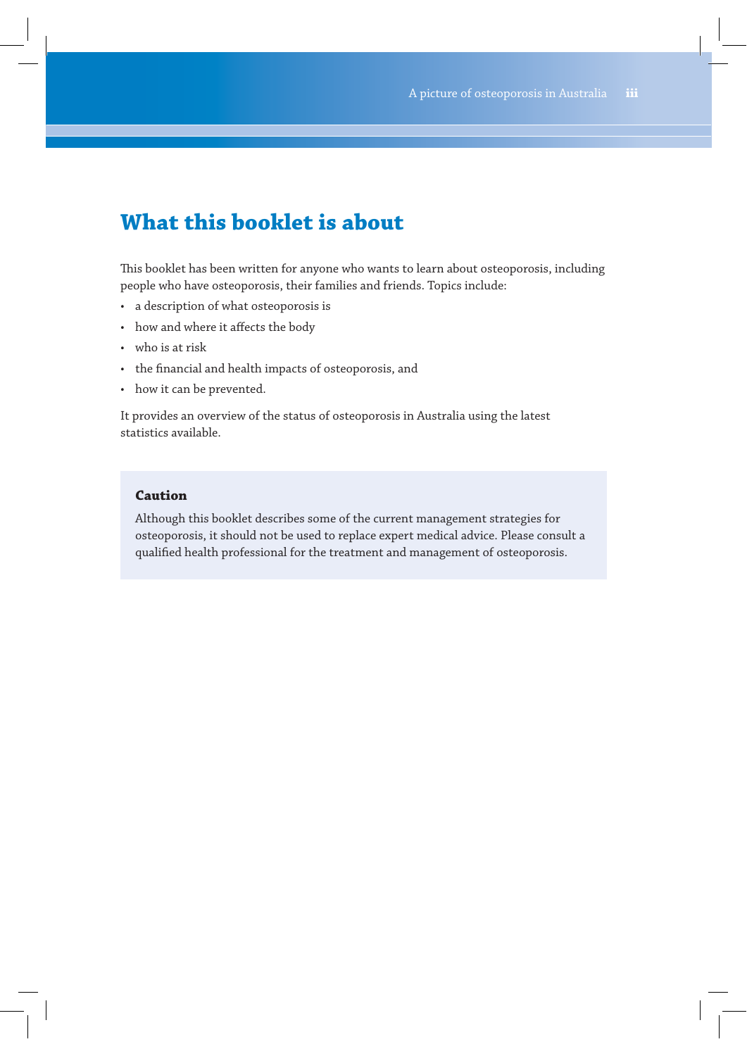# **What this booklet is about**

This booklet has been written for anyone who wants to learn about osteoporosis, including people who have osteoporosis, their families and friends. Topics include:

- a description of what osteoporosis is
- how and where it affects the body
- who is at risk
- the financial and health impacts of osteoporosis, and
- how it can be prevented.

It provides an overview of the status of osteoporosis in Australia using the latest statistics available.

### **Caution**

Although this booklet describes some of the current management strategies for osteoporosis, it should not be used to replace expert medical advice. Please consult a qualified health professional for the treatment and management of osteoporosis.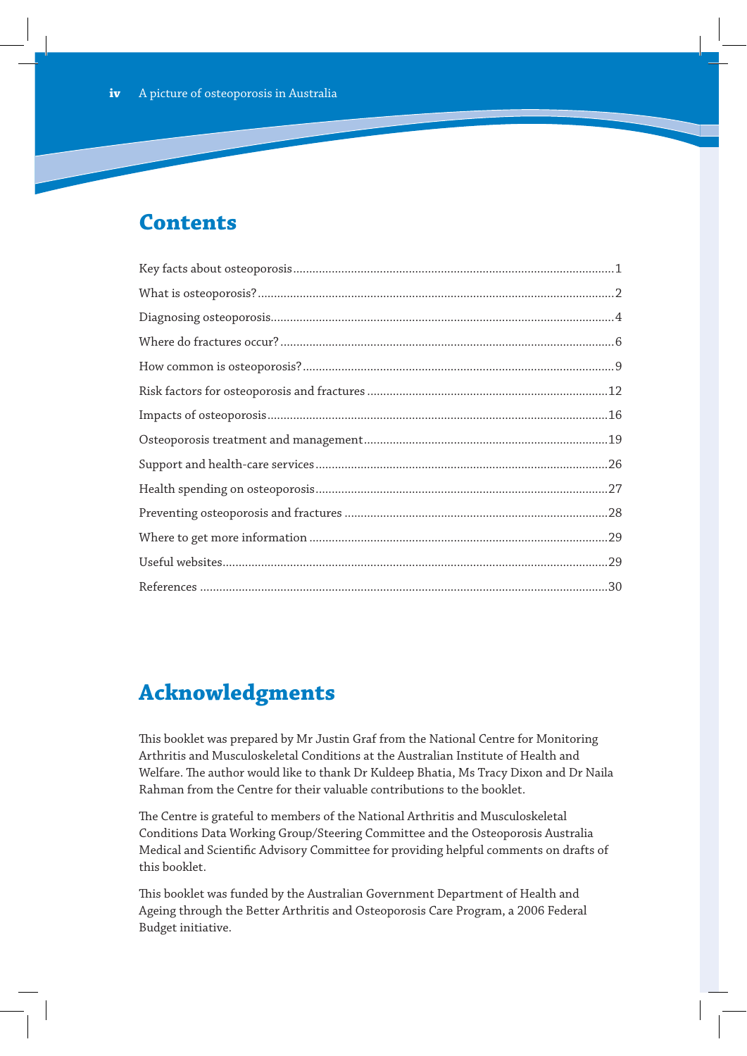# **Contents**

# **Acknowledgments**

This booklet was prepared by Mr Justin Graf from the National Centre for Monitoring Arthritis and Musculoskeletal Conditions at the Australian Institute of Health and Welfare. The author would like to thank Dr Kuldeep Bhatia, Ms Tracy Dixon and Dr Naila Rahman from the Centre for their valuable contributions to the booklet.

The Centre is grateful to members of the National Arthritis and Musculoskeletal Conditions Data Working Group/Steering Committee and the Osteoporosis Australia Medical and Scientific Advisory Committee for providing helpful comments on drafts of this booklet.

This booklet was funded by the Australian Government Department of Health and Ageing through the Better Arthritis and Osteoporosis Care Program, a 2006 Federal Budget initiative.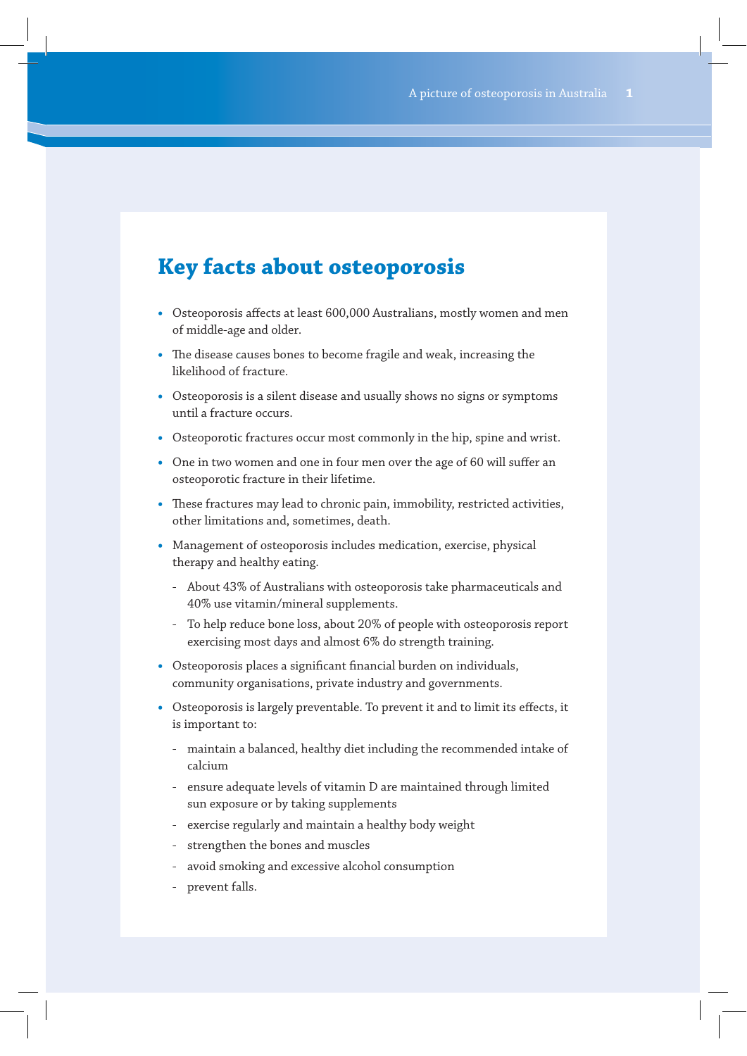# **Key facts about osteoporosis**

- **•** Osteoporosis affects at least 600,000 Australians, mostly women and men of middle-age and older.
- **•** The disease causes bones to become fragile and weak, increasing the likelihood of fracture.
- **•** Osteoporosis is a silent disease and usually shows no signs or symptoms until a fracture occurs.
- **•** Osteoporotic fractures occur most commonly in the hip, spine and wrist.
- **•** One in two women and one in four men over the age of 60 will suffer an osteoporotic fracture in their lifetime.
- **•** These fractures may lead to chronic pain, immobility, restricted activities, other limitations and, sometimes, death.
- **•** Management of osteoporosis includes medication, exercise, physical therapy and healthy eating.
	- About 43% of Australians with osteoporosis take pharmaceuticals and 40% use vitamin/mineral supplements.
	- To help reduce bone loss, about 20% of people with osteoporosis report exercising most days and almost 6% do strength training.
- **•** Osteoporosis places a significant financial burden on individuals, community organisations, private industry and governments.
- **•** Osteoporosis is largely preventable. To prevent it and to limit its effects, it is important to:
	- maintain a balanced, healthy diet including the recommended intake of calcium
	- ensure adequate levels of vitamin D are maintained through limited sun exposure or by taking supplements
	- exercise regularly and maintain a healthy body weight
	- strengthen the bones and muscles
	- avoid smoking and excessive alcohol consumption
	- prevent falls.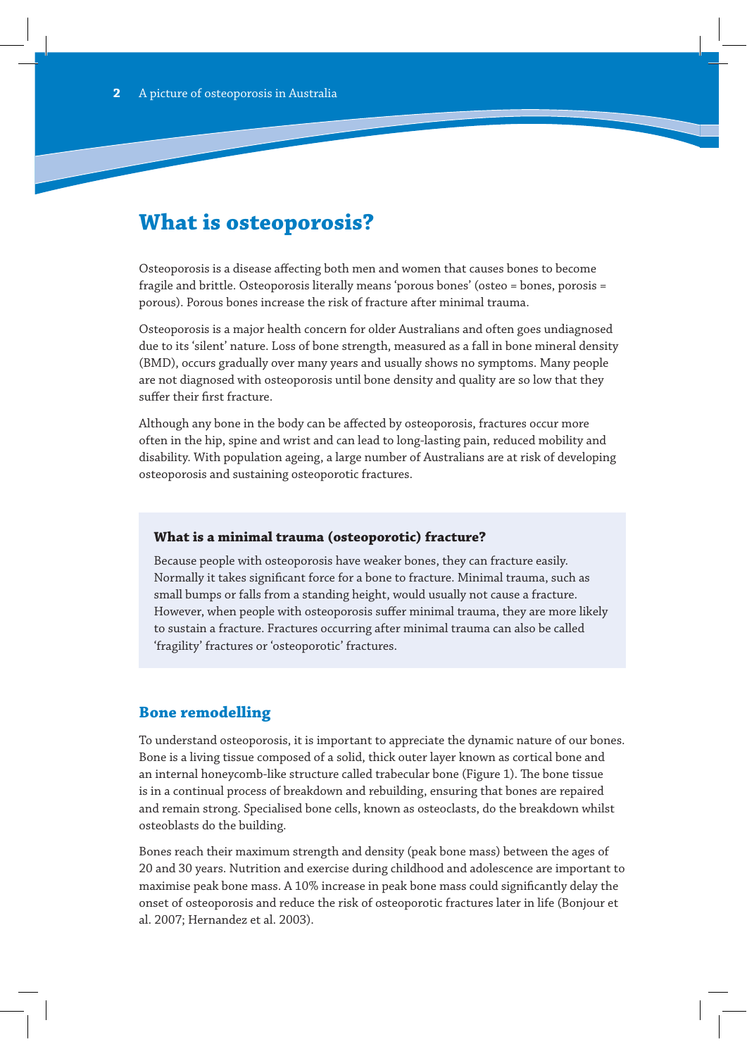# **What is osteoporosis?**

Osteoporosis is a disease affecting both men and women that causes bones to become fragile and brittle. Osteoporosis literally means 'porous bones' (osteo = bones, porosis = porous). Porous bones increase the risk of fracture after minimal trauma.

Osteoporosis is a major health concern for older Australians and often goes undiagnosed due to its 'silent' nature. Loss of bone strength, measured as a fall in bone mineral density (BMD), occurs gradually over many years and usually shows no symptoms. Many people are not diagnosed with osteoporosis until bone density and quality are so low that they suffer their first fracture.

Although any bone in the body can be affected by osteoporosis, fractures occur more often in the hip, spine and wrist and can lead to long-lasting pain, reduced mobility and disability. With population ageing, a large number of Australians are at risk of developing osteoporosis and sustaining osteoporotic fractures.

#### **What is a minimal trauma (osteoporotic) fracture?**

Because people with osteoporosis have weaker bones, they can fracture easily. Normally it takes significant force for a bone to fracture. Minimal trauma, such as small bumps or falls from a standing height, would usually not cause a fracture. However, when people with osteoporosis suffer minimal trauma, they are more likely to sustain a fracture. Fractures occurring after minimal trauma can also be called 'fragility' fractures or 'osteoporotic' fractures.

### **Bone remodelling**

To understand osteoporosis, it is important to appreciate the dynamic nature of our bones. Bone is a living tissue composed of a solid, thick outer layer known as cortical bone and an internal honeycomb-like structure called trabecular bone (Figure 1). The bone tissue is in a continual process of breakdown and rebuilding, ensuring that bones are repaired and remain strong. Specialised bone cells, known as osteoclasts, do the breakdown whilst osteoblasts do the building.

Bones reach their maximum strength and density (peak bone mass) between the ages of 20 and 30 years. Nutrition and exercise during childhood and adolescence are important to maximise peak bone mass. A 10% increase in peak bone mass could significantly delay the onset of osteoporosis and reduce the risk of osteoporotic fractures later in life (Bonjour et al. 2007; Hernandez et al. 2003).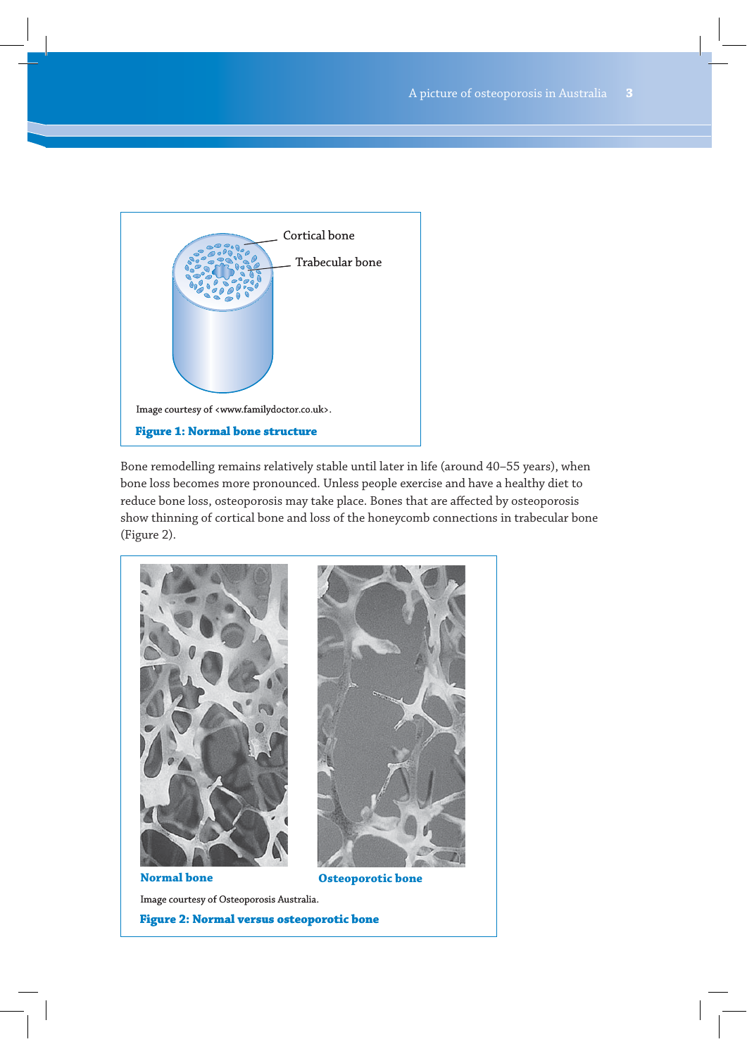

Bone remodelling remains relatively stable until later in life (around 40–55 years), when bone loss becomes more pronounced. Unless people exercise and have a healthy diet to reduce bone loss, osteoporosis may take place. Bones that are affected by osteoporosis show thinning of cortical bone and loss of the honeycomb connections in trabecular bone (Figure 2).



**Normal bone Osteoporotic bone**

Image courtesy of Osteoporosis Australia.

**Figure 2: Normal versus osteoporotic bone**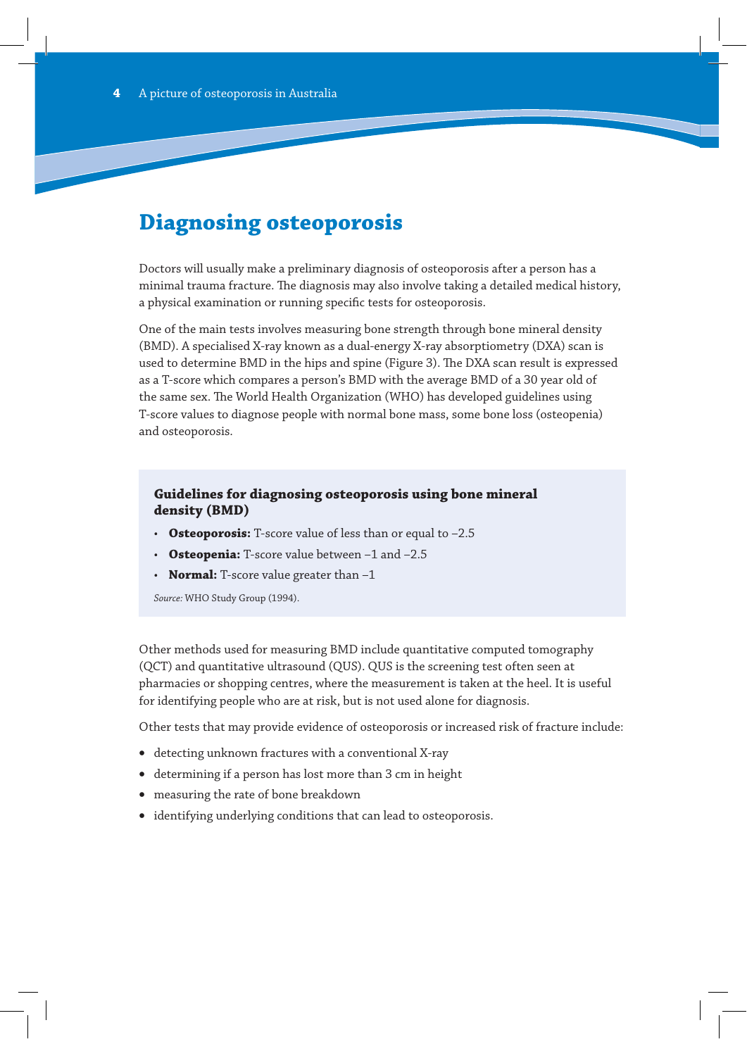# **Diagnosing osteoporosis**

Doctors will usually make a preliminary diagnosis of osteoporosis after a person has a minimal trauma fracture. The diagnosis may also involve taking a detailed medical history, a physical examination or running specific tests for osteoporosis.

One of the main tests involves measuring bone strength through bone mineral density (BMD). A specialised X-ray known as a dual-energy X-ray absorptiometry (DXA) scan is used to determine BMD in the hips and spine (Figure 3). The DXA scan result is expressed as a T-score which compares a person's BMD with the average BMD of a 30 year old of the same sex. The World Health Organization (WHO) has developed guidelines using T-score values to diagnose people with normal bone mass, some bone loss (osteopenia) and osteoporosis.

### **Guidelines for diagnosing osteoporosis using bone mineral density (BMD)**

- **Osteoporosis:** T-score value of less than or equal to –2.5
- **Osteopenia:** T-score value between –1 and –2.5
- **Normal:** T-score value greater than -1

*Source:* WHO Study Group (1994).

Other methods used for measuring BMD include quantitative computed tomography (QCT) and quantitative ultrasound (QUS). QUS is the screening test often seen at pharmacies or shopping centres, where the measurement is taken at the heel. It is useful for identifying people who are at risk, but is not used alone for diagnosis.

Other tests that may provide evidence of osteoporosis or increased risk of fracture include:

- detecting unknown fractures with a conventional X-ray
- v determining if a person has lost more than 3 cm in height
- measuring the rate of bone breakdown
- identifying underlying conditions that can lead to osteoporosis.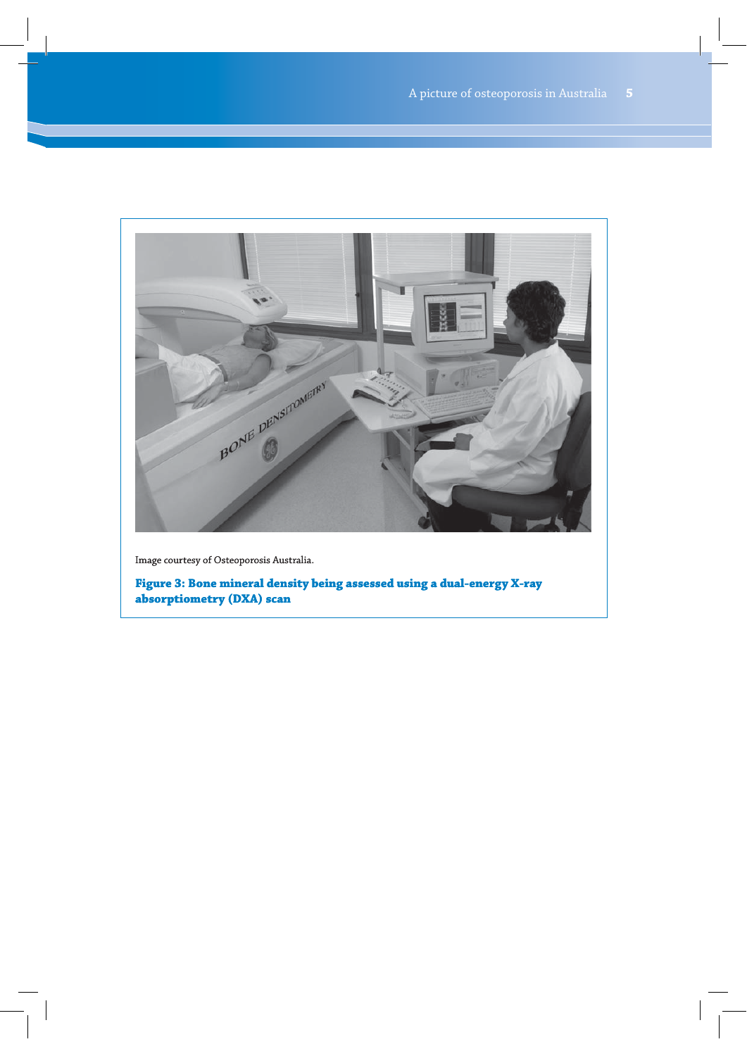

Image courtesy of Osteoporosis Australia.

**Figure 3: Bone mineral density being assessed using a dual-energy X-ray absorptiometry (DXA) scan**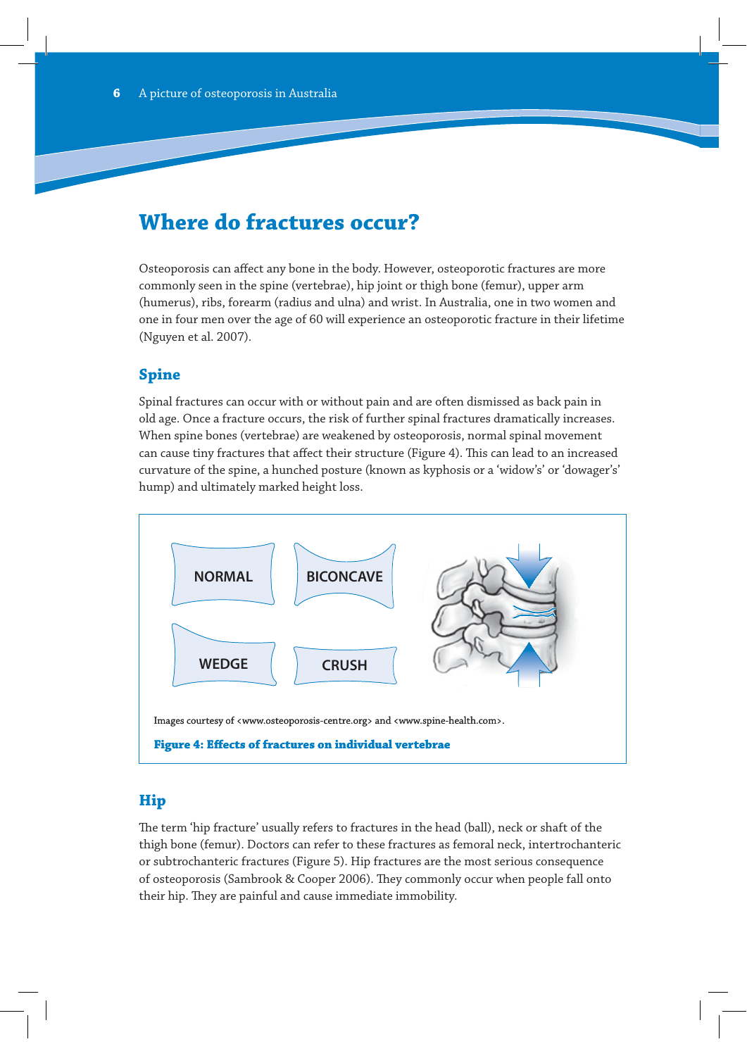# **Where do fractures occur?**

Osteoporosis can affect any bone in the body. However, osteoporotic fractures are more commonly seen in the spine (vertebrae), hip joint or thigh bone (femur), upper arm (humerus), ribs, forearm (radius and ulna) and wrist. In Australia, one in two women and one in four men over the age of 60 will experience an osteoporotic fracture in their lifetime (Nguyen et al. 2007).

# **Spine**

Spinal fractures can occur with or without pain and are often dismissed as back pain in old age. Once a fracture occurs, the risk of further spinal fractures dramatically increases. When spine bones (vertebrae) are weakened by osteoporosis, normal spinal movement can cause tiny fractures that affect their structure (Figure 4). This can lead to an increased curvature of the spine, a hunched posture (known as kyphosis or a 'widow's' or 'dowager's' hump) and ultimately marked height loss.



### **Hip**

The term 'hip fracture' usually refers to fractures in the head (ball), neck or shaft of the thigh bone (femur). Doctors can refer to these fractures as femoral neck, intertrochanteric or subtrochanteric fractures (Figure 5). Hip fractures are the most serious consequence of osteoporosis (Sambrook & Cooper 2006). They commonly occur when people fall onto their hip. They are painful and cause immediate immobility.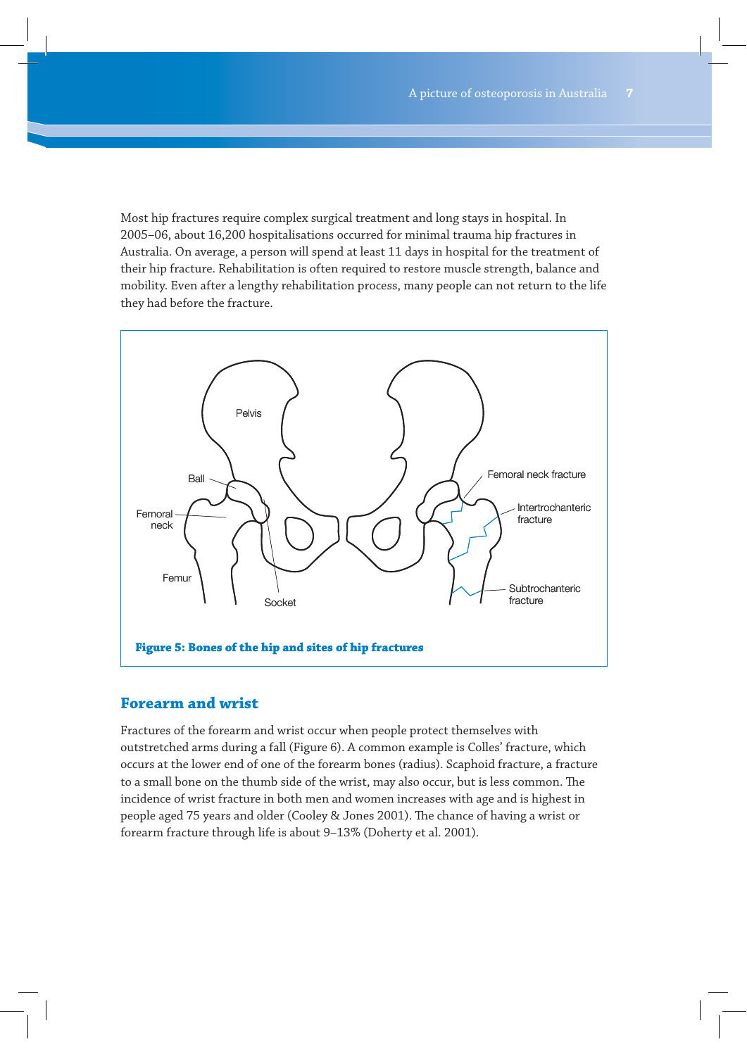Most hip fractures require complex surgical treatment and long stays in hospital. In 2005–06, about 16,200 hospitalisations occurred for minimal trauma hip fractures in Australia. On average, a person will spend at least 11 days in hospital for the treatment of their hip fracture. Rehabilitation is often required to restore muscle strength, balance and mobility. Even after a lengthy rehabilitation process, many people can not return to the life they had before the fracture.



### **Forearm and wrist**

Fractures of the forearm and wrist occur when people protect themselves with outstretched arms during a fall (Figure 6). A common example is Colles' fracture, which occurs at the lower end of one of the forearm bones (radius). Scaphoid fracture, a fracture to a small bone on the thumb side of the wrist, may also occur, but is less common. The incidence of wrist fracture in both men and women increases with age and is highest in people aged 75 years and older (Cooley & Jones 2001). The chance of having a wrist or forearm fracture through life is about 9–13% (Doherty et al. 2001).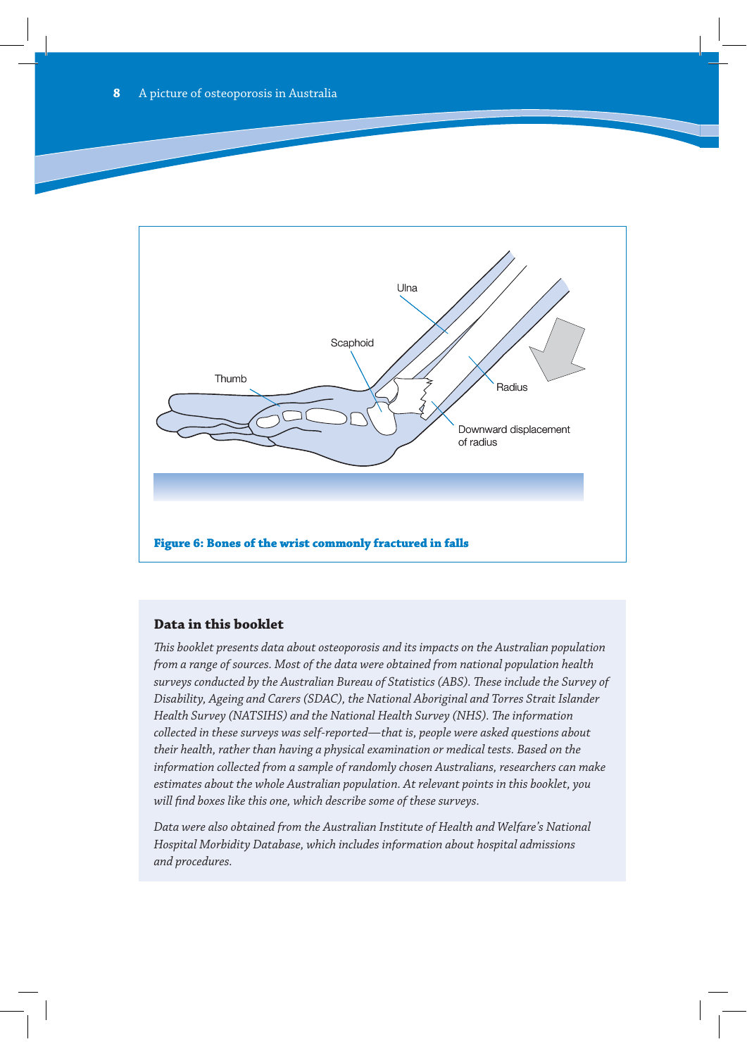

#### **Data in this booklet**

*This booklet presents data about osteoporosis and its impacts on the Australian population from a range of sources. Most of the data were obtained from national population health surveys conducted by the Australian Bureau of Statistics (ABS). These include the Survey of Disability, Ageing and Carers (SDAC), the National Aboriginal and Torres Strait Islander Health Survey (NATSIHS) and the National Health Survey (NHS). The information collected in these surveys was self-reported—that is, people were asked questions about their health, rather than having a physical examination or medical tests. Based on the information collected from a sample of randomly chosen Australians, researchers can make estimates about the whole Australian population. At relevant points in this booklet, you will find boxes like this one, which describe some of these surveys.*

*Data were also obtained from the Australian Institute of Health and Welfare's National Hospital Morbidity Database, which includes information about hospital admissions and procedures.*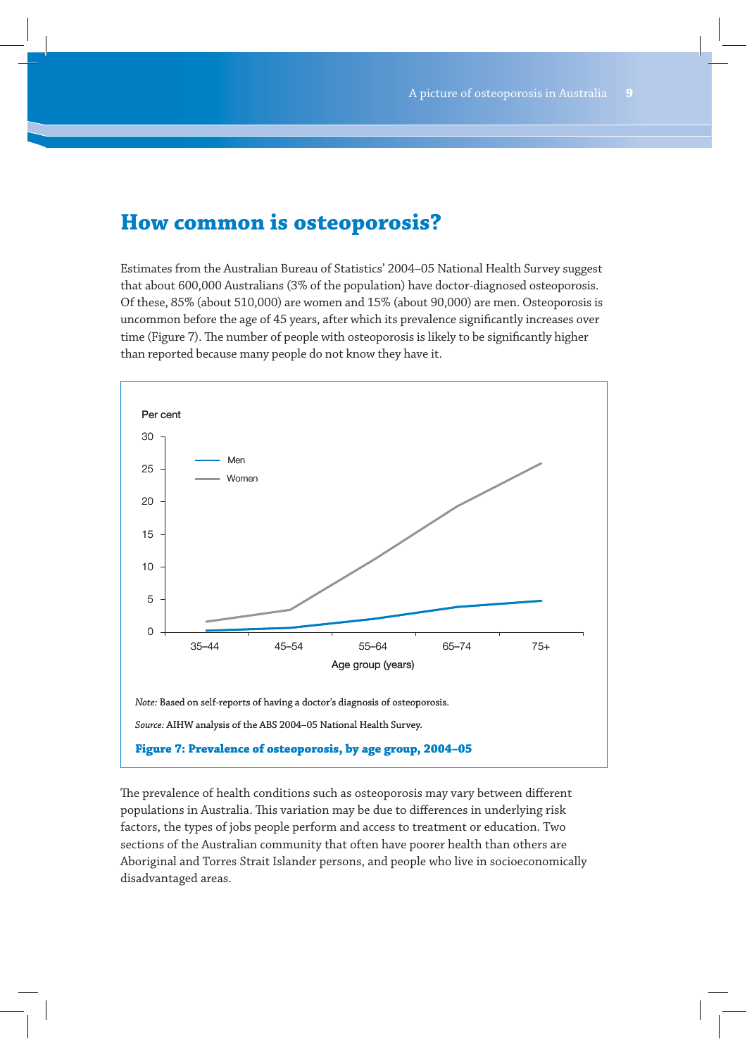# **How common is osteoporosis?**

Estimates from the Australian Bureau of Statistics' 2004–05 National Health Survey suggest that about 600,000 Australians (3% of the population) have doctor-diagnosed osteoporosis. Of these, 85% (about 510,000) are women and 15% (about 90,000) are men. Osteoporosis is uncommon before the age of 45 years, after which its prevalence significantly increases over time (Figure 7). The number of people with osteoporosis is likely to be significantly higher than reported because many people do not know they have it.



The prevalence of health conditions such as osteoporosis may vary between different populations in Australia. This variation may be due to differences in underlying risk factors, the types of jobs people perform and access to treatment or education. Two sections of the Australian community that often have poorer health than others are Aboriginal and Torres Strait Islander persons, and people who live in socioeconomically disadvantaged areas.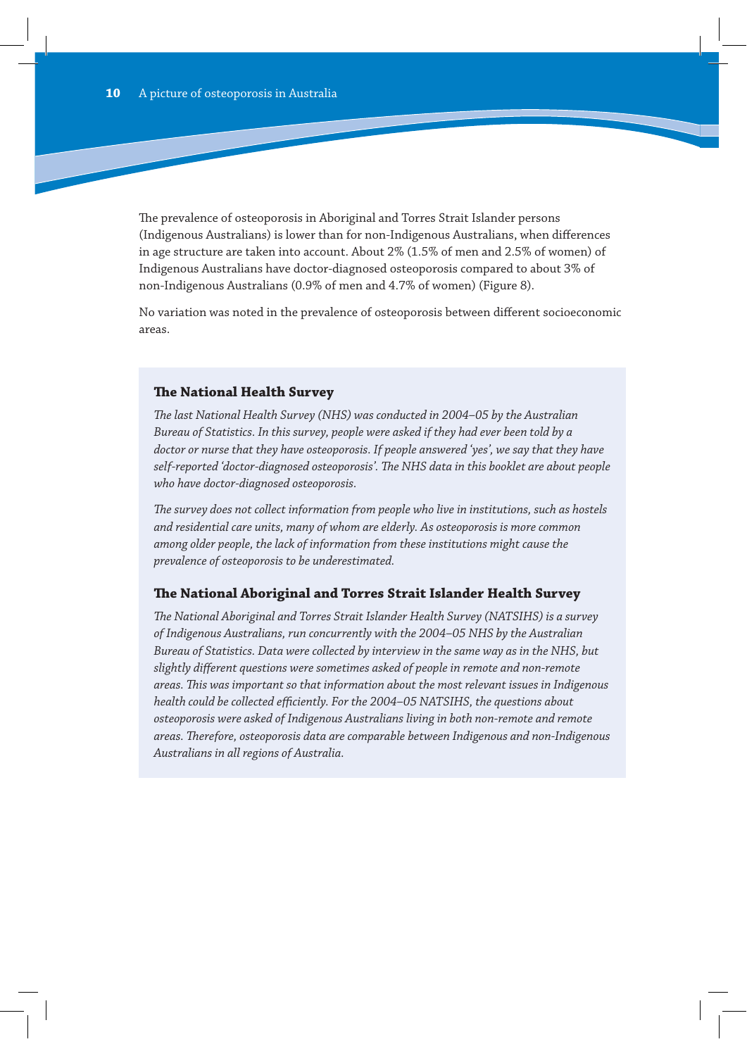The prevalence of osteoporosis in Aboriginal and Torres Strait Islander persons (Indigenous Australians) is lower than for non-Indigenous Australians, when differences in age structure are taken into account. About 2% (1.5% of men and 2.5% of women) of Indigenous Australians have doctor-diagnosed osteoporosis compared to about 3% of non-Indigenous Australians (0.9% of men and 4.7% of women) (Figure 8).

No variation was noted in the prevalence of osteoporosis between different socioeconomic areas.

#### **The National Health Survey**

*The last National Health Survey (NHS) was conducted in 2004–05 by the Australian Bureau of Statistics. In this survey, people were asked if they had ever been told by a doctor or nurse that they have osteoporosis. If people answered 'yes', we say that they have self-reported 'doctor-diagnosed osteoporosis'. The NHS data in this booklet are about people who have doctor-diagnosed osteoporosis.*

*The survey does not collect information from people who live in institutions, such as hostels and residential care units, many of whom are elderly. As osteoporosis is more common among older people, the lack of information from these institutions might cause the prevalence of osteoporosis to be underestimated.*

#### **The National Aboriginal and Torres Strait Islander Health Survey**

*The National Aboriginal and Torres Strait Islander Health Survey (NATSIHS) is a survey of Indigenous Australians, run concurrently with the 2004–05 NHS by the Australian Bureau of Statistics. Data were collected by interview in the same way as in the NHS, but slightly different questions were sometimes asked of people in remote and non-remote areas. This was important so that information about the most relevant issues in Indigenous health could be collected efficiently. For the 2004–05 NATSIHS, the questions about osteoporosis were asked of Indigenous Australians living in both non-remote and remote areas. Therefore, osteoporosis data are comparable between Indigenous and non-Indigenous Australians in all regions of Australia.*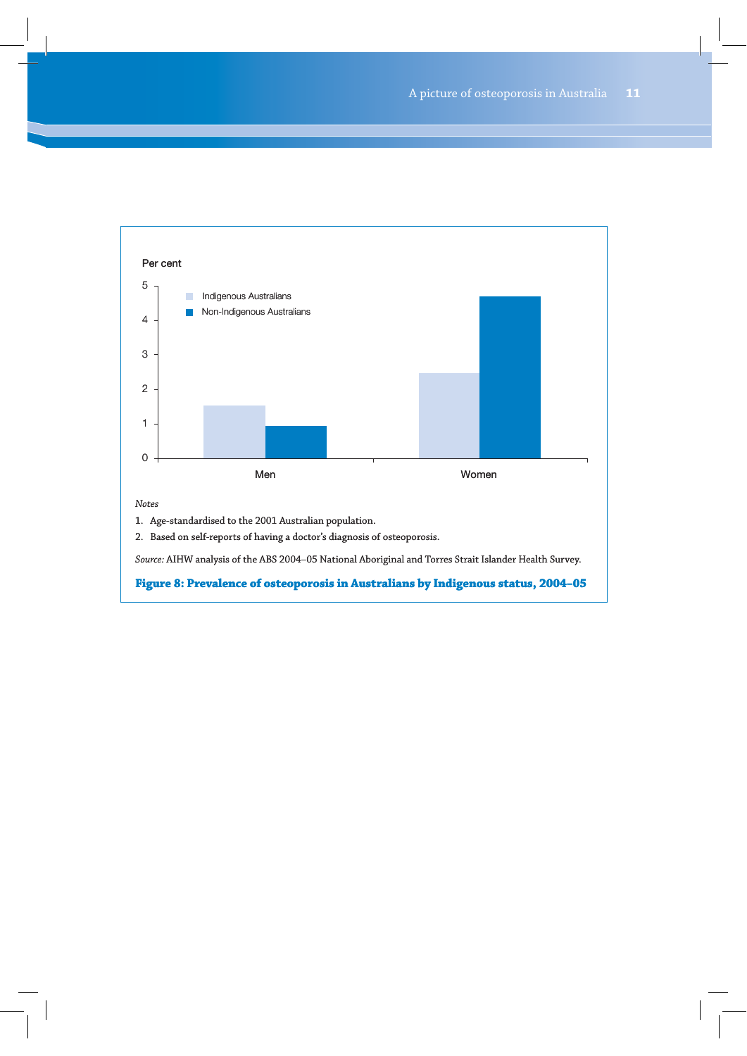

*Source:* AIHW analysis of the ABS 2004–05 National Aboriginal and Torres Strait Islander Health Survey.

#### **Figure 8: Prevalence of osteoporosis in Australians by Indigenous status, 2004–05**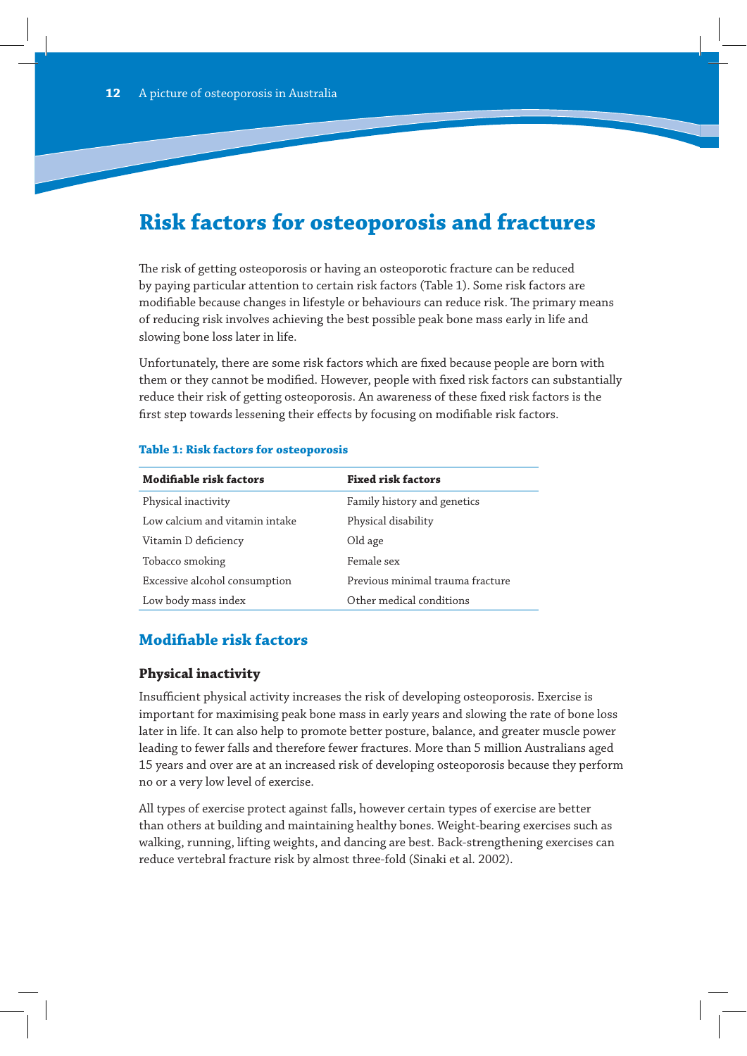# **Risk factors for osteoporosis and fractures**

The risk of getting osteoporosis or having an osteoporotic fracture can be reduced by paying particular attention to certain risk factors (Table 1). Some risk factors are modifiable because changes in lifestyle or behaviours can reduce risk. The primary means of reducing risk involves achieving the best possible peak bone mass early in life and slowing bone loss later in life.

Unfortunately, there are some risk factors which are fixed because people are born with them or they cannot be modified. However, people with fixed risk factors can substantially reduce their risk of getting osteoporosis. An awareness of these fixed risk factors is the first step towards lessening their effects by focusing on modifiable risk factors.

| <b>Modifiable risk factors</b> | <b>Fixed risk factors</b>        |
|--------------------------------|----------------------------------|
| Physical inactivity            | Family history and genetics      |
| Low calcium and vitamin intake | Physical disability              |
| Vitamin D deficiency           | Old age                          |
| Tobacco smoking                | Female sex                       |
| Excessive alcohol consumption  | Previous minimal trauma fracture |
| Low body mass index            | Other medical conditions         |

#### **Table 1: Risk factors for osteoporosis**

# **Modifiable risk factors**

### **Physical inactivity**

Insufficient physical activity increases the risk of developing osteoporosis. Exercise is important for maximising peak bone mass in early years and slowing the rate of bone loss later in life. It can also help to promote better posture, balance, and greater muscle power leading to fewer falls and therefore fewer fractures. More than 5 million Australians aged 15 years and over are at an increased risk of developing osteoporosis because they perform no or a very low level of exercise.

All types of exercise protect against falls, however certain types of exercise are better than others at building and maintaining healthy bones. Weight-bearing exercises such as walking, running, lifting weights, and dancing are best. Back-strengthening exercises can reduce vertebral fracture risk by almost three-fold (Sinaki et al. 2002).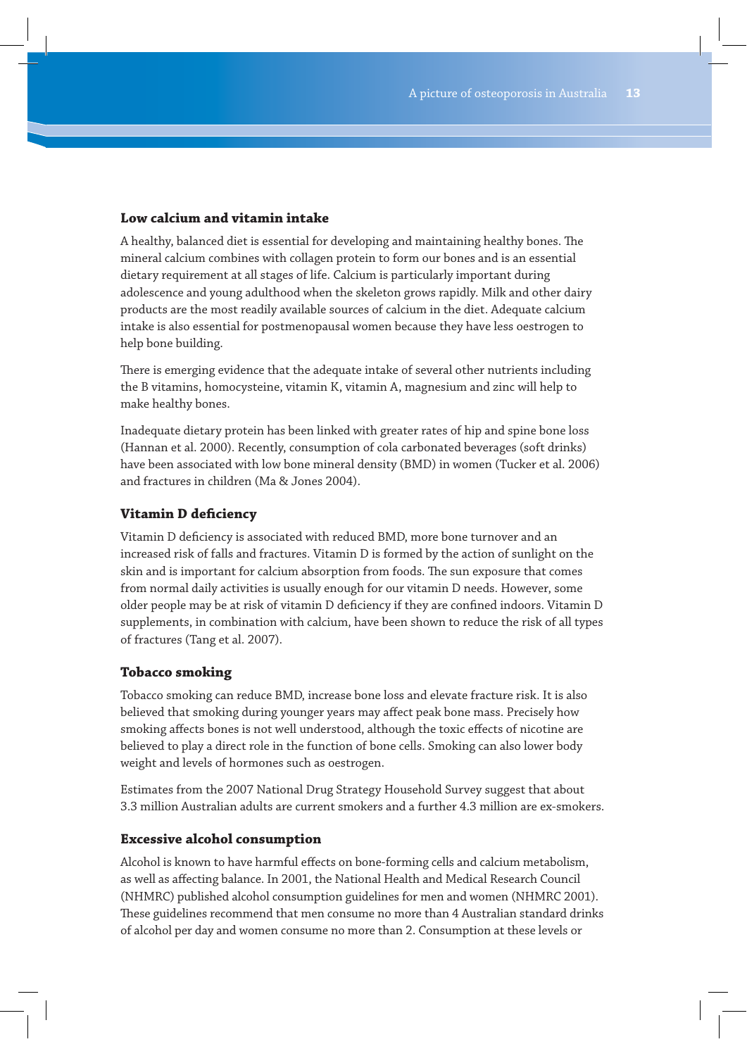### **Low calcium and vitamin intake**

A healthy, balanced diet is essential for developing and maintaining healthy bones. The mineral calcium combines with collagen protein to form our bones and is an essential dietary requirement at all stages of life. Calcium is particularly important during adolescence and young adulthood when the skeleton grows rapidly. Milk and other dairy products are the most readily available sources of calcium in the diet. Adequate calcium intake is also essential for postmenopausal women because they have less oestrogen to help bone building.

There is emerging evidence that the adequate intake of several other nutrients including the B vitamins, homocysteine, vitamin K, vitamin A, magnesium and zinc will help to make healthy bones.

Inadequate dietary protein has been linked with greater rates of hip and spine bone loss (Hannan et al. 2000). Recently, consumption of cola carbonated beverages (soft drinks) have been associated with low bone mineral density (BMD) in women (Tucker et al. 2006) and fractures in children (Ma & Jones 2004).

### **Vitamin D deficiency**

Vitamin D deficiency is associated with reduced BMD, more bone turnover and an increased risk of falls and fractures. Vitamin D is formed by the action of sunlight on the skin and is important for calcium absorption from foods. The sun exposure that comes from normal daily activities is usually enough for our vitamin D needs. However, some older people may be at risk of vitamin D deficiency if they are confined indoors. Vitamin D supplements, in combination with calcium, have been shown to reduce the risk of all types of fractures (Tang et al. 2007).

### **Tobacco smoking**

Tobacco smoking can reduce BMD, increase bone loss and elevate fracture risk. It is also believed that smoking during younger years may affect peak bone mass. Precisely how smoking affects bones is not well understood, although the toxic effects of nicotine are believed to play a direct role in the function of bone cells. Smoking can also lower body weight and levels of hormones such as oestrogen.

Estimates from the 2007 National Drug Strategy Household Survey suggest that about 3.3 million Australian adults are current smokers and a further 4.3 million are ex-smokers.

### **Excessive alcohol consumption**

Alcohol is known to have harmful effects on bone-forming cells and calcium metabolism, as well as affecting balance. In 2001, the National Health and Medical Research Council (NHMRC) published alcohol consumption guidelines for men and women (NHMRC 2001). These guidelines recommend that men consume no more than 4 Australian standard drinks of alcohol per day and women consume no more than 2. Consumption at these levels or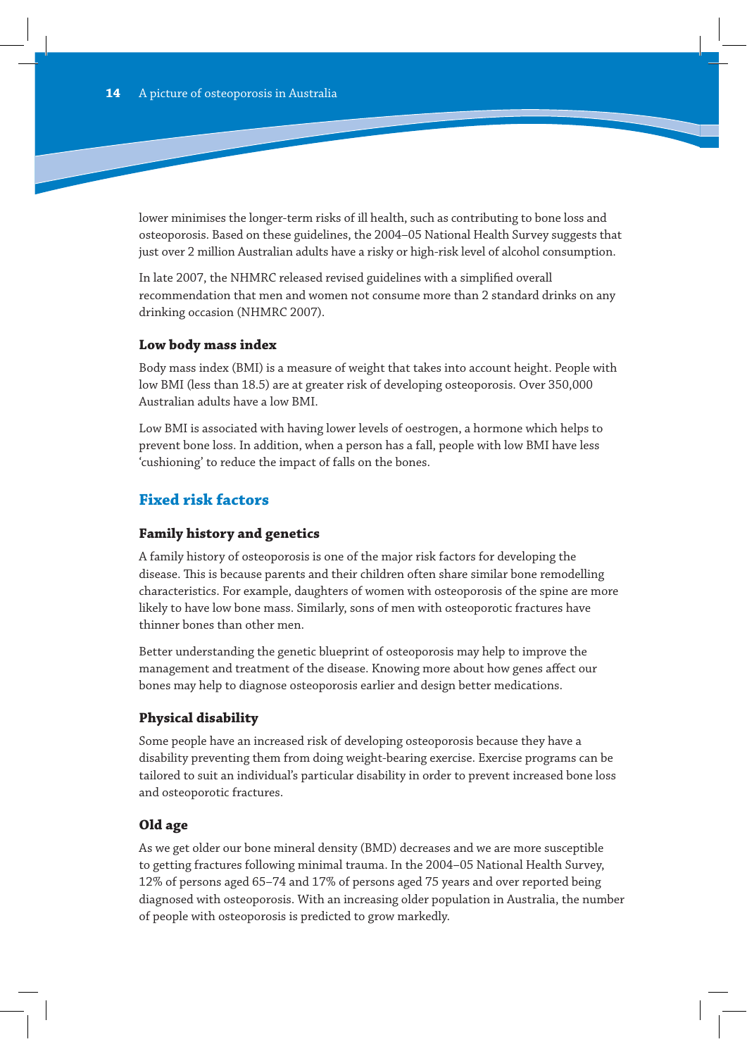lower minimises the longer-term risks of ill health, such as contributing to bone loss and osteoporosis. Based on these guidelines, the 2004–05 National Health Survey suggests that just over 2 million Australian adults have a risky or high-risk level of alcohol consumption.

In late 2007, the NHMRC released revised guidelines with a simplified overall recommendation that men and women not consume more than 2 standard drinks on any drinking occasion (NHMRC 2007).

#### **Low body mass index**

Body mass index (BMI) is a measure of weight that takes into account height. People with low BMI (less than 18.5) are at greater risk of developing osteoporosis. Over 350,000 Australian adults have a low BMI.

Low BMI is associated with having lower levels of oestrogen, a hormone which helps to prevent bone loss. In addition, when a person has a fall, people with low BMI have less 'cushioning' to reduce the impact of falls on the bones.

# **Fixed risk factors**

#### **Family history and genetics**

A family history of osteoporosis is one of the major risk factors for developing the disease. This is because parents and their children often share similar bone remodelling characteristics. For example, daughters of women with osteoporosis of the spine are more likely to have low bone mass. Similarly, sons of men with osteoporotic fractures have thinner bones than other men.

Better understanding the genetic blueprint of osteoporosis may help to improve the management and treatment of the disease. Knowing more about how genes affect our bones may help to diagnose osteoporosis earlier and design better medications.

### **Physical disability**

Some people have an increased risk of developing osteoporosis because they have a disability preventing them from doing weight-bearing exercise. Exercise programs can be tailored to suit an individual's particular disability in order to prevent increased bone loss and osteoporotic fractures.

#### **Old age**

As we get older our bone mineral density (BMD) decreases and we are more susceptible to getting fractures following minimal trauma. In the 2004–05 National Health Survey, 12% of persons aged 65–74 and 17% of persons aged 75 years and over reported being diagnosed with osteoporosis. With an increasing older population in Australia, the number of people with osteoporosis is predicted to grow markedly.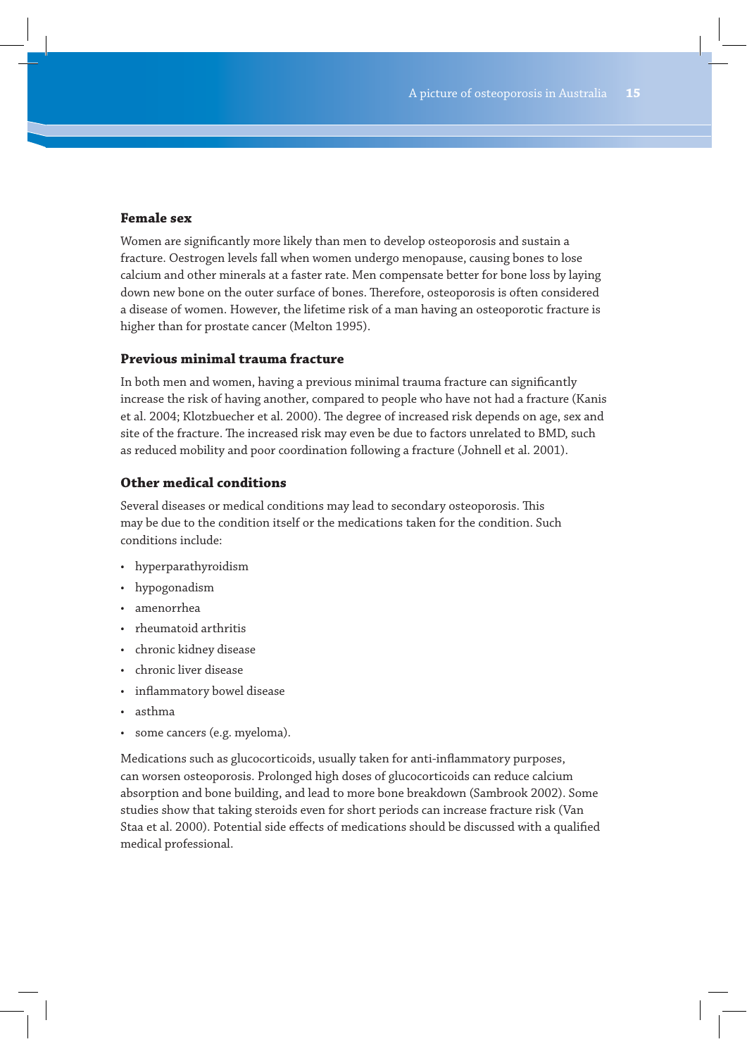### **Female sex**

Women are significantly more likely than men to develop osteoporosis and sustain a fracture. Oestrogen levels fall when women undergo menopause, causing bones to lose calcium and other minerals at a faster rate. Men compensate better for bone loss by laying down new bone on the outer surface of bones. Therefore, osteoporosis is often considered a disease of women. However, the lifetime risk of a man having an osteoporotic fracture is higher than for prostate cancer (Melton 1995).

### **Previous minimal trauma fracture**

In both men and women, having a previous minimal trauma fracture can significantly increase the risk of having another, compared to people who have not had a fracture (Kanis et al. 2004; Klotzbuecher et al. 2000). The degree of increased risk depends on age, sex and site of the fracture. The increased risk may even be due to factors unrelated to BMD, such as reduced mobility and poor coordination following a fracture (Johnell et al. 2001).

### **Other medical conditions**

Several diseases or medical conditions may lead to secondary osteoporosis. This may be due to the condition itself or the medications taken for the condition. Such conditions include:

- hyperparathyroidism
- hypogonadism
- amenorrhea
- rheumatoid arthritis
- chronic kidney disease
- chronic liver disease
- inflammatory bowel disease
- asthma
- some cancers (e.g. myeloma).

Medications such as glucocorticoids, usually taken for anti-inflammatory purposes, can worsen osteoporosis. Prolonged high doses of glucocorticoids can reduce calcium absorption and bone building, and lead to more bone breakdown (Sambrook 2002). Some studies show that taking steroids even for short periods can increase fracture risk (Van Staa et al. 2000). Potential side effects of medications should be discussed with a qualified medical professional.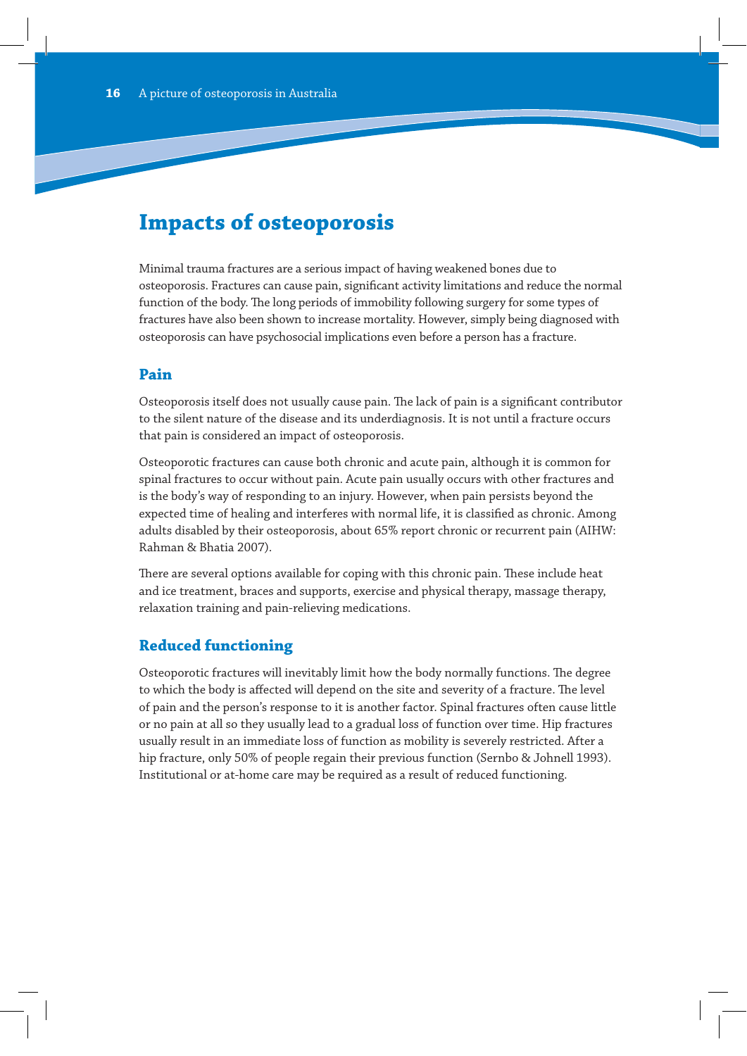# **Impacts of osteoporosis**

Minimal trauma fractures are a serious impact of having weakened bones due to osteoporosis. Fractures can cause pain, significant activity limitations and reduce the normal function of the body. The long periods of immobility following surgery for some types of fractures have also been shown to increase mortality. However, simply being diagnosed with osteoporosis can have psychosocial implications even before a person has a fracture.

# **Pain**

Osteoporosis itself does not usually cause pain. The lack of pain is a significant contributor to the silent nature of the disease and its underdiagnosis. It is not until a fracture occurs that pain is considered an impact of osteoporosis.

Osteoporotic fractures can cause both chronic and acute pain, although it is common for spinal fractures to occur without pain. Acute pain usually occurs with other fractures and is the body's way of responding to an injury. However, when pain persists beyond the expected time of healing and interferes with normal life, it is classified as chronic. Among adults disabled by their osteoporosis, about 65% report chronic or recurrent pain (AIHW: Rahman & Bhatia 2007).

There are several options available for coping with this chronic pain. These include heat and ice treatment, braces and supports, exercise and physical therapy, massage therapy, relaxation training and pain-relieving medications.

# **Reduced functioning**

Osteoporotic fractures will inevitably limit how the body normally functions. The degree to which the body is affected will depend on the site and severity of a fracture. The level of pain and the person's response to it is another factor. Spinal fractures often cause little or no pain at all so they usually lead to a gradual loss of function over time. Hip fractures usually result in an immediate loss of function as mobility is severely restricted. After a hip fracture, only 50% of people regain their previous function (Sernbo & Johnell 1993). Institutional or at-home care may be required as a result of reduced functioning.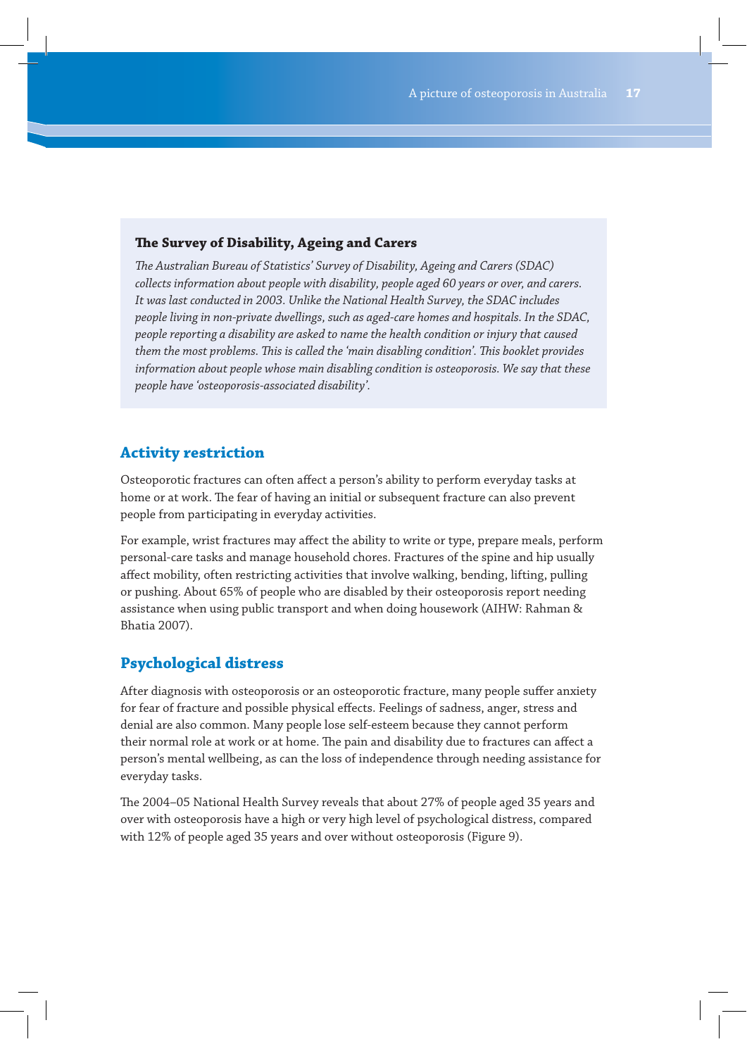### **The Survey of Disability, Ageing and Carers**

*The Australian Bureau of Statistics' Survey of Disability, Ageing and Carers (SDAC) collects information about people with disability, people aged 60 years or over, and carers. It was last conducted in 2003. Unlike the National Health Survey, the SDAC includes people living in non-private dwellings, such as aged-care homes and hospitals. In the SDAC, people reporting a disability are asked to name the health condition or injury that caused them the most problems. This is called the 'main disabling condition'. This booklet provides information about people whose main disabling condition is osteoporosis. We say that these people have 'osteoporosis-associated disability'.*

# **Activity restriction**

Osteoporotic fractures can often affect a person's ability to perform everyday tasks at home or at work. The fear of having an initial or subsequent fracture can also prevent people from participating in everyday activities.

For example, wrist fractures may affect the ability to write or type, prepare meals, perform personal-care tasks and manage household chores. Fractures of the spine and hip usually affect mobility, often restricting activities that involve walking, bending, lifting, pulling or pushing. About 65% of people who are disabled by their osteoporosis report needing assistance when using public transport and when doing housework (AIHW: Rahman & Bhatia 2007).

# **Psychological distress**

After diagnosis with osteoporosis or an osteoporotic fracture, many people suffer anxiety for fear of fracture and possible physical effects. Feelings of sadness, anger, stress and denial are also common. Many people lose self-esteem because they cannot perform their normal role at work or at home. The pain and disability due to fractures can affect a person's mental wellbeing, as can the loss of independence through needing assistance for everyday tasks.

The 2004–05 National Health Survey reveals that about 27% of people aged 35 years and over with osteoporosis have a high or very high level of psychological distress, compared with 12% of people aged 35 years and over without osteoporosis (Figure 9).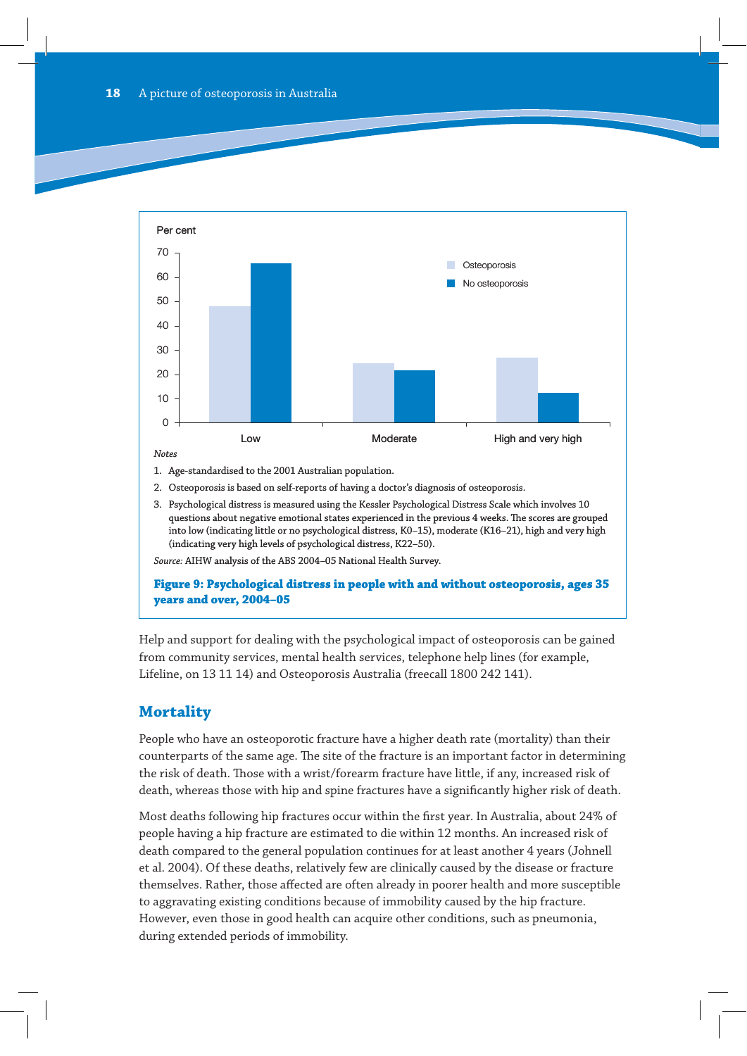

- 2. Osteoporosis is based on self-reports of having a doctor's diagnosis of osteoporosis.
- 3. Psychological distress is measured using the Kessler Psychological Distress Scale which involves 10 questions about negative emotional states experienced in the previous 4 weeks. The scores are grouped into low (indicating little or no psychological distress, K0–15), moderate (K16–21), high and very high (indicating very high levels of psychological distress, K22–50).

*Source:* AIHW analysis of the ABS 2004–05 National Health Survey.

**Figure 9: Psychological distress in people with and without osteoporosis, ages 35 years and over, 2004–05**

Help and support for dealing with the psychological impact of osteoporosis can be gained from community services, mental health services, telephone help lines (for example, Lifeline, on 13 11 14) and Osteoporosis Australia (freecall 1800 242 141).

# **Mortality**

People who have an osteoporotic fracture have a higher death rate (mortality) than their counterparts of the same age. The site of the fracture is an important factor in determining the risk of death. Those with a wrist/forearm fracture have little, if any, increased risk of death, whereas those with hip and spine fractures have a significantly higher risk of death.

Most deaths following hip fractures occur within the first year. In Australia, about 24% of people having a hip fracture are estimated to die within 12 months. An increased risk of death compared to the general population continues for at least another 4 years (Johnell et al. 2004). Of these deaths, relatively few are clinically caused by the disease or fracture themselves. Rather, those affected are often already in poorer health and more susceptible to aggravating existing conditions because of immobility caused by the hip fracture. However, even those in good health can acquire other conditions, such as pneumonia, during extended periods of immobility.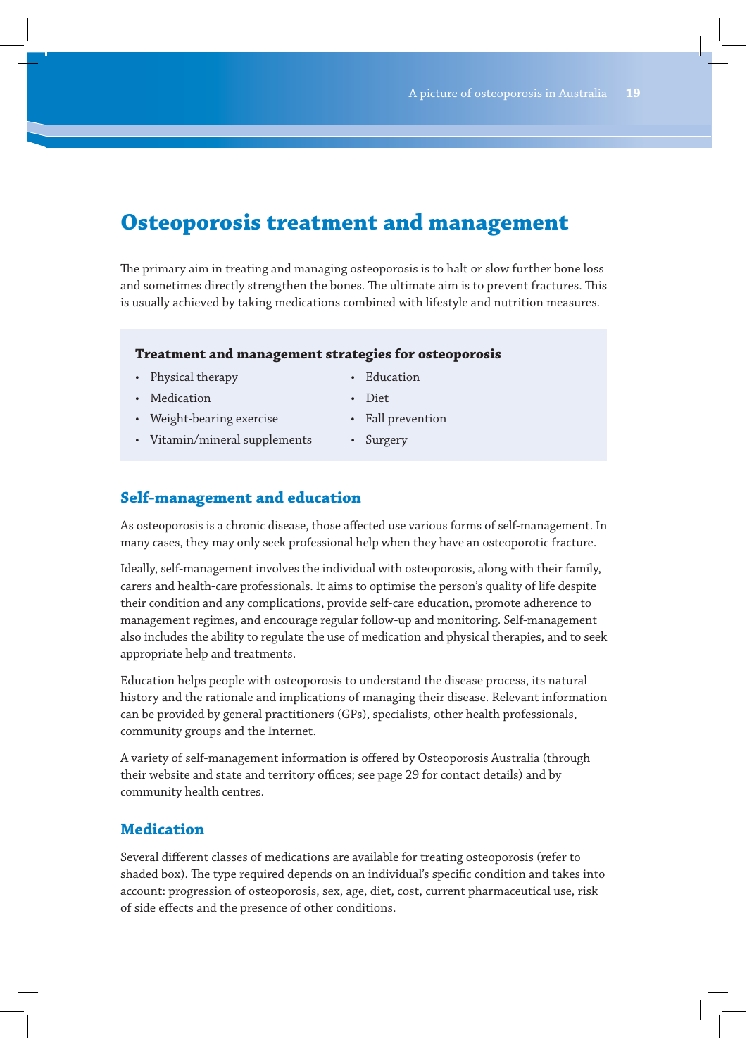# **Osteoporosis treatment and management**

The primary aim in treating and managing osteoporosis is to halt or slow further bone loss and sometimes directly strengthen the bones. The ultimate aim is to prevent fractures. This is usually achieved by taking medications combined with lifestyle and nutrition measures.

### **Treatment and management strategies for osteoporosis**

- Physical therapy  **Education**
- Medication Diet
- Weight-bearing exercise Fall prevention
- -
- Vitamin/mineral supplements Surgery
- 

# **Self-management and education**

As osteoporosis is a chronic disease, those affected use various forms of self-management. In many cases, they may only seek professional help when they have an osteoporotic fracture.

Ideally, self-management involves the individual with osteoporosis, along with their family, carers and health-care professionals. It aims to optimise the person's quality of life despite their condition and any complications, provide self-care education, promote adherence to management regimes, and encourage regular follow-up and monitoring. Self-management also includes the ability to regulate the use of medication and physical therapies, and to seek appropriate help and treatments.

Education helps people with osteoporosis to understand the disease process, its natural history and the rationale and implications of managing their disease. Relevant information can be provided by general practitioners (GPs), specialists, other health professionals, community groups and the Internet.

A variety of self-management information is offered by Osteoporosis Australia (through their website and state and territory offices; see page 29 for contact details) and by community health centres.

# **Medication**

Several different classes of medications are available for treating osteoporosis (refer to shaded box). The type required depends on an individual's specific condition and takes into account: progression of osteoporosis, sex, age, diet, cost, current pharmaceutical use, risk of side effects and the presence of other conditions.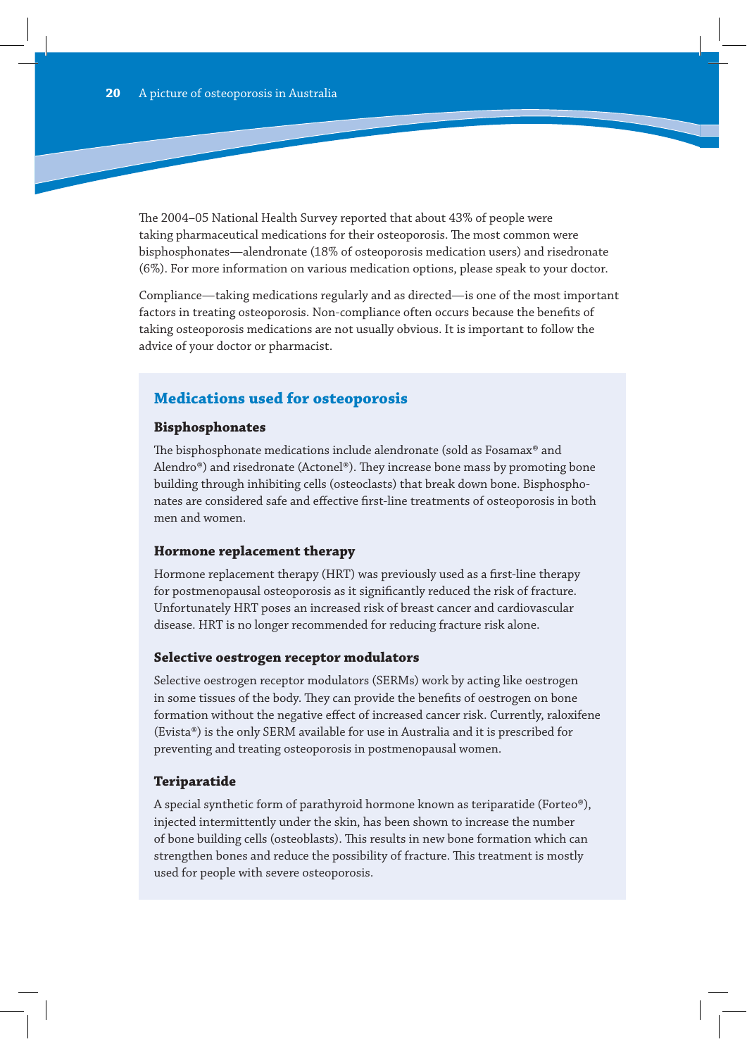The 2004–05 National Health Survey reported that about 43% of people were taking pharmaceutical medications for their osteoporosis. The most common were bisphosphonates—alendronate (18% of osteoporosis medication users) and risedronate (6%). For more information on various medication options, please speak to your doctor.

Compliance—taking medications regularly and as directed—is one of the most important factors in treating osteoporosis. Non-compliance often occurs because the benefits of taking osteoporosis medications are not usually obvious. It is important to follow the advice of your doctor or pharmacist.

# **Medications used for osteoporosis**

#### **Bisphosphonates**

The bisphosphonate medications include alendronate (sold as Fosamax® and Alendro®) and risedronate (Actonel®). They increase bone mass by promoting bone building through inhibiting cells (osteoclasts) that break down bone. Bisphosphonates are considered safe and effective first-line treatments of osteoporosis in both men and women.

#### **Hormone replacement therapy**

Hormone replacement therapy (HRT) was previously used as a first-line therapy for postmenopausal osteoporosis as it significantly reduced the risk of fracture. Unfortunately HRT poses an increased risk of breast cancer and cardiovascular disease. HRT is no longer recommended for reducing fracture risk alone.

#### **Selective oestrogen receptor modulators**

Selective oestrogen receptor modulators (SERMs) work by acting like oestrogen in some tissues of the body. They can provide the benefits of oestrogen on bone formation without the negative effect of increased cancer risk. Currently, raloxifene (Evista®) is the only SERM available for use in Australia and it is prescribed for preventing and treating osteoporosis in postmenopausal women.

### **Teriparatide**

A special synthetic form of parathyroid hormone known as teriparatide (Forteo®), injected intermittently under the skin, has been shown to increase the number of bone building cells (osteoblasts). This results in new bone formation which can strengthen bones and reduce the possibility of fracture. This treatment is mostly used for people with severe osteoporosis.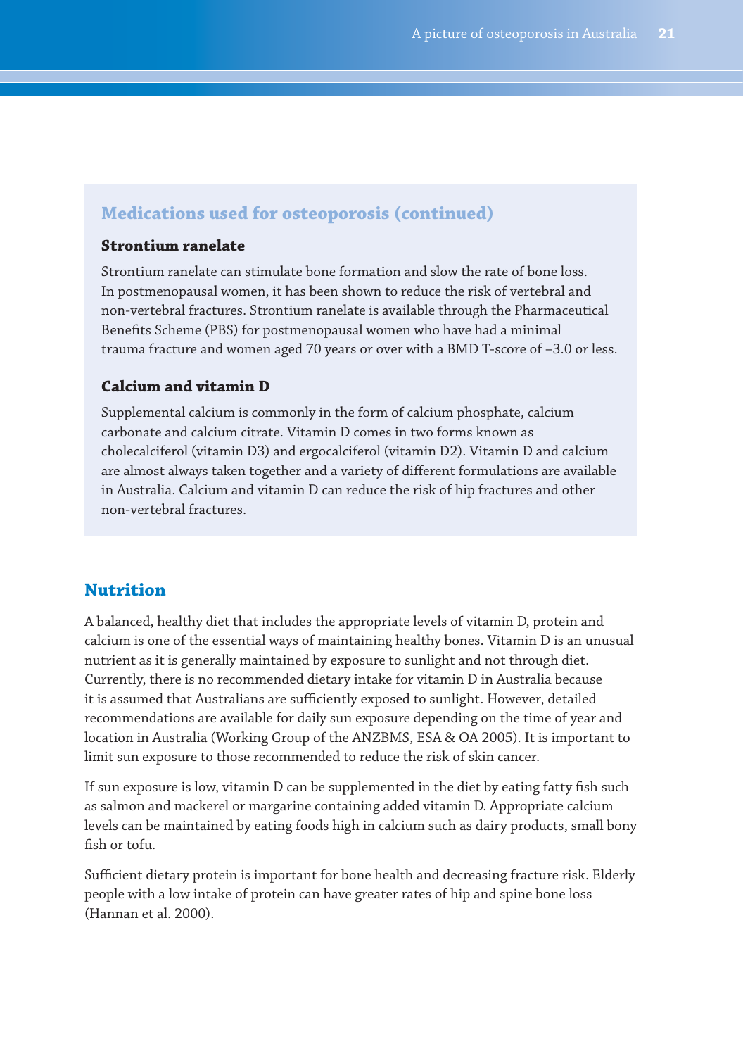### **Medications used for osteoporosis (continued)**

#### **Strontium ranelate**

Strontium ranelate can stimulate bone formation and slow the rate of bone loss. In postmenopausal women, it has been shown to reduce the risk of vertebral and non-vertebral fractures. Strontium ranelate is available through the Pharmaceutical Benefits Scheme (PBS) for postmenopausal women who have had a minimal trauma fracture and women aged 70 years or over with a BMD T-score of –3.0 or less.

#### **Calcium and vitamin D**

Supplemental calcium is commonly in the form of calcium phosphate, calcium carbonate and calcium citrate. Vitamin D comes in two forms known as cholecalciferol (vitamin D3) and ergocalciferol (vitamin D2). Vitamin D and calcium are almost always taken together and a variety of different formulations are available in Australia. Calcium and vitamin D can reduce the risk of hip fractures and other non-vertebral fractures.

### **Nutrition**

A balanced, healthy diet that includes the appropriate levels of vitamin D, protein and calcium is one of the essential ways of maintaining healthy bones. Vitamin D is an unusual nutrient as it is generally maintained by exposure to sunlight and not through diet. Currently, there is no recommended dietary intake for vitamin D in Australia because it is assumed that Australians are sufficiently exposed to sunlight. However, detailed recommendations are available for daily sun exposure depending on the time of year and location in Australia (Working Group of the ANZBMS, ESA & OA 2005). It is important to limit sun exposure to those recommended to reduce the risk of skin cancer.

If sun exposure is low, vitamin D can be supplemented in the diet by eating fatty fish such as salmon and mackerel or margarine containing added vitamin D. Appropriate calcium levels can be maintained by eating foods high in calcium such as dairy products, small bony fish or tofu.

Sufficient dietary protein is important for bone health and decreasing fracture risk. Elderly people with a low intake of protein can have greater rates of hip and spine bone loss (Hannan et al. 2000).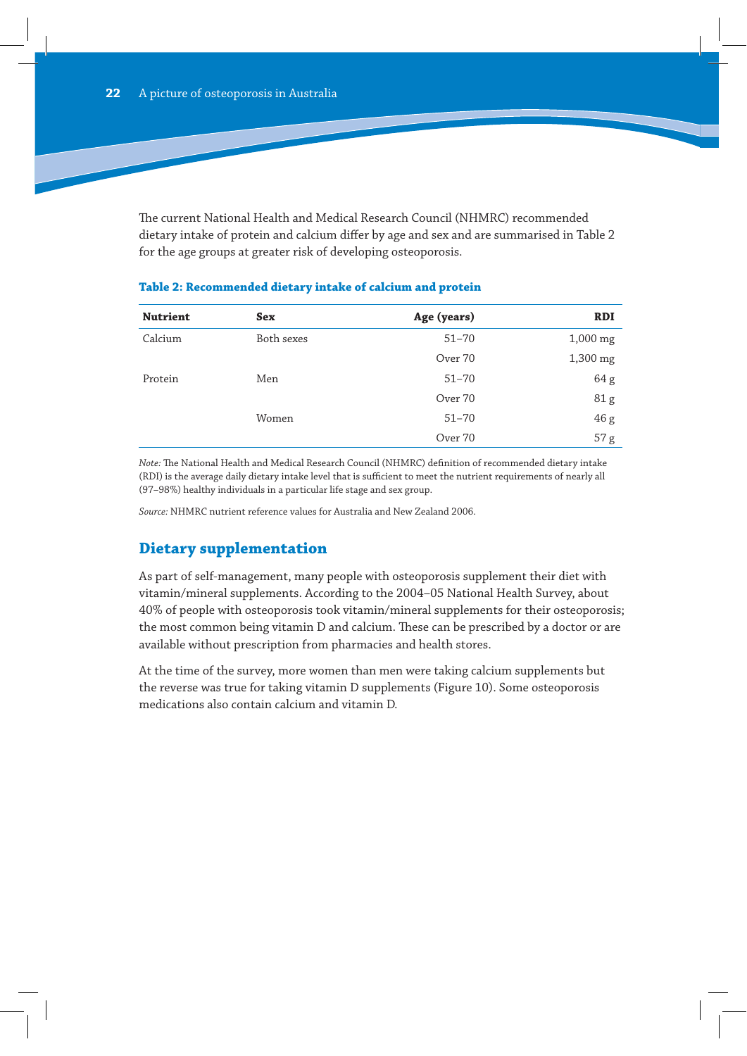The current National Health and Medical Research Council (NHMRC) recommended dietary intake of protein and calcium differ by age and sex and are summarised in Table 2 for the age groups at greater risk of developing osteoporosis.

| <b>Nutrient</b> | <b>Sex</b> | Age (years) | <b>RDI</b> |
|-----------------|------------|-------------|------------|
| Calcium         | Both sexes | $51 - 70$   | $1,000$ mg |
|                 |            | Over 70     | 1,300 mg   |
| Protein         | Men        | $51 - 70$   | 64 g       |
|                 |            | Over 70     | 81 g       |
|                 | Women      | $51 - 70$   | 46 g       |
|                 |            | Over 70     | 57 g       |

#### **Table 2: Recommended dietary intake of calcium and protein**

*Note:* The National Health and Medical Research Council (NHMRC) definition of recommended dietary intake (RDI) is the average daily dietary intake level that is sufficient to meet the nutrient requirements of nearly all (97–98%) healthy individuals in a particular life stage and sex group.

*Source:* NHMRC nutrient reference values for Australia and New Zealand 2006.

# **Dietary supplementation**

As part of self-management, many people with osteoporosis supplement their diet with vitamin/mineral supplements. According to the 2004–05 National Health Survey, about 40% of people with osteoporosis took vitamin/mineral supplements for their osteoporosis; the most common being vitamin D and calcium. These can be prescribed by a doctor or are available without prescription from pharmacies and health stores.

At the time of the survey, more women than men were taking calcium supplements but the reverse was true for taking vitamin D supplements (Figure 10). Some osteoporosis medications also contain calcium and vitamin D.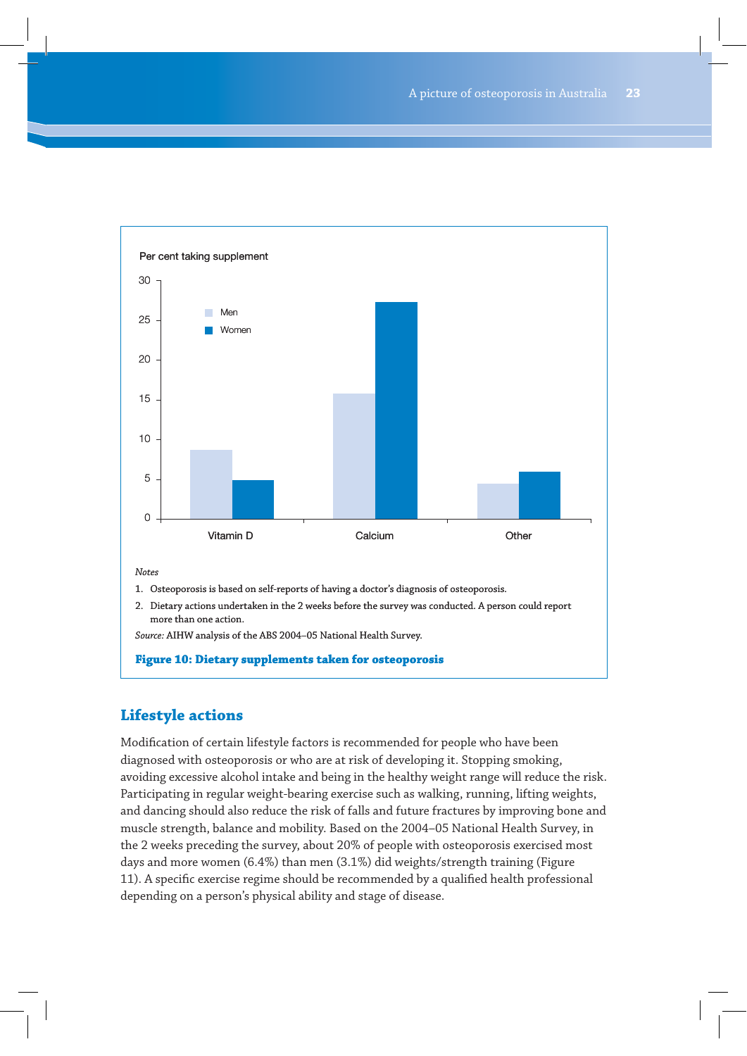

2. Dietary actions undertaken in the 2 weeks before the survey was conducted. A person could report more than one action.

*Source:* AIHW analysis of the ABS 2004–05 National Health Survey.

#### **Figure 10: Dietary supplements taken for osteoporosis**

# **Lifestyle actions**

Modification of certain lifestyle factors is recommended for people who have been diagnosed with osteoporosis or who are at risk of developing it. Stopping smoking, avoiding excessive alcohol intake and being in the healthy weight range will reduce the risk. Participating in regular weight-bearing exercise such as walking, running, lifting weights, and dancing should also reduce the risk of falls and future fractures by improving bone and muscle strength, balance and mobility. Based on the 2004–05 National Health Survey, in the 2 weeks preceding the survey, about 20% of people with osteoporosis exercised most days and more women (6.4%) than men (3.1%) did weights/strength training (Figure 11). A specific exercise regime should be recommended by a qualified health professional depending on a person's physical ability and stage of disease.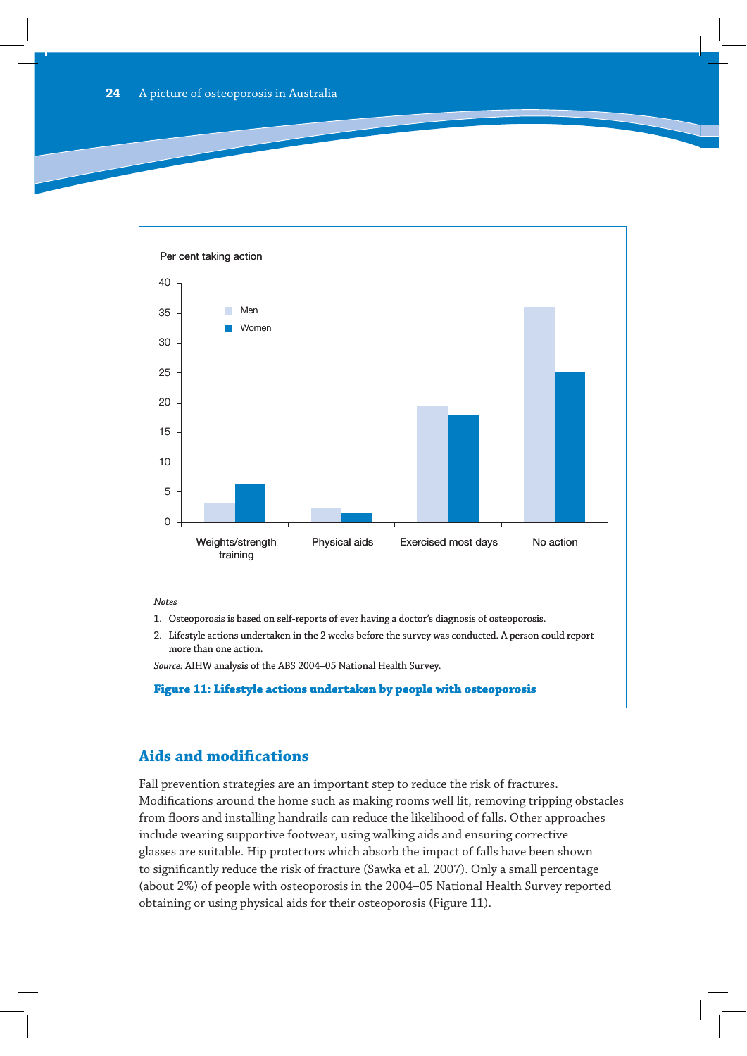

*Notes*

- 1. Osteoporosis is based on self-reports of ever having a doctor's diagnosis of osteoporosis.
- 2. Lifestyle actions undertaken in the 2 weeks before the survey was conducted. A person could report more than one action.

*Source:* AIHW analysis of the ABS 2004–05 National Health Survey.

**Figure 11: Lifestyle actions undertaken by people with osteoporosis**

### **Aids and modifications**

Fall prevention strategies are an important step to reduce the risk of fractures. Modifications around the home such as making rooms well lit, removing tripping obstacles from floors and installing handrails can reduce the likelihood of falls. Other approaches include wearing supportive footwear, using walking aids and ensuring corrective glasses are suitable. Hip protectors which absorb the impact of falls have been shown to significantly reduce the risk of fracture (Sawka et al. 2007). Only a small percentage (about 2%) of people with osteoporosis in the 2004–05 National Health Survey reported obtaining or using physical aids for their osteoporosis (Figure 11).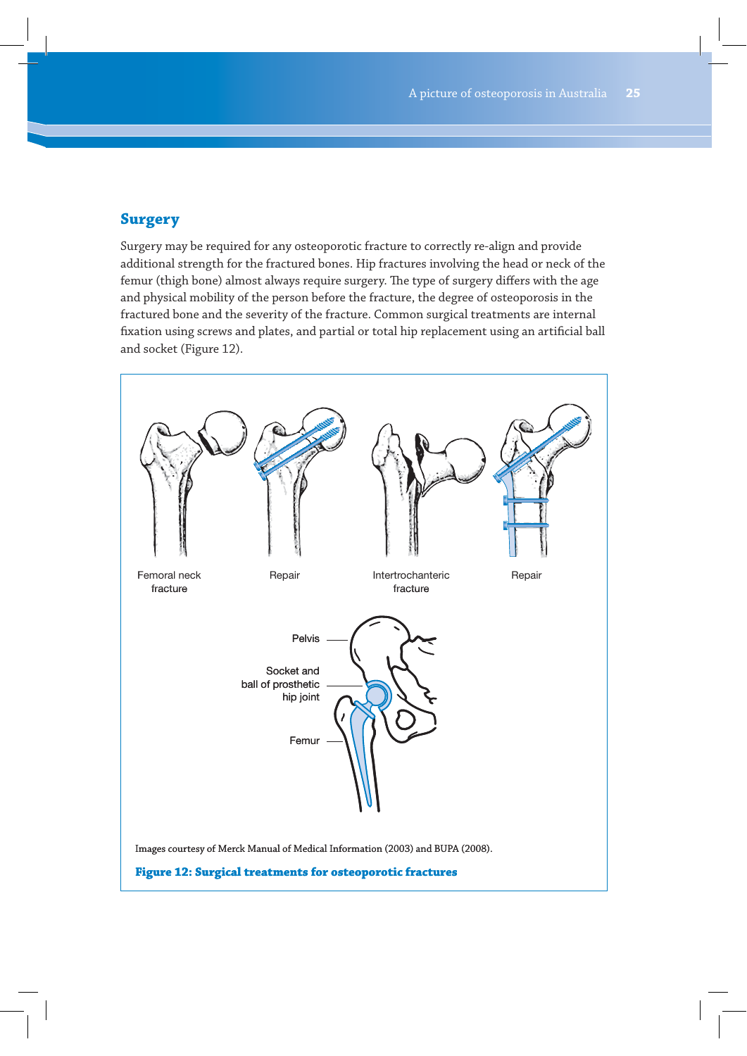# **Surgery**

Surgery may be required for any osteoporotic fracture to correctly re-align and provide additional strength for the fractured bones. Hip fractures involving the head or neck of the femur (thigh bone) almost always require surgery. The type of surgery differs with the age and physical mobility of the person before the fracture, the degree of osteoporosis in the fractured bone and the severity of the fracture. Common surgical treatments are internal fixation using screws and plates, and partial or total hip replacement using an artificial ball and socket (Figure 12).

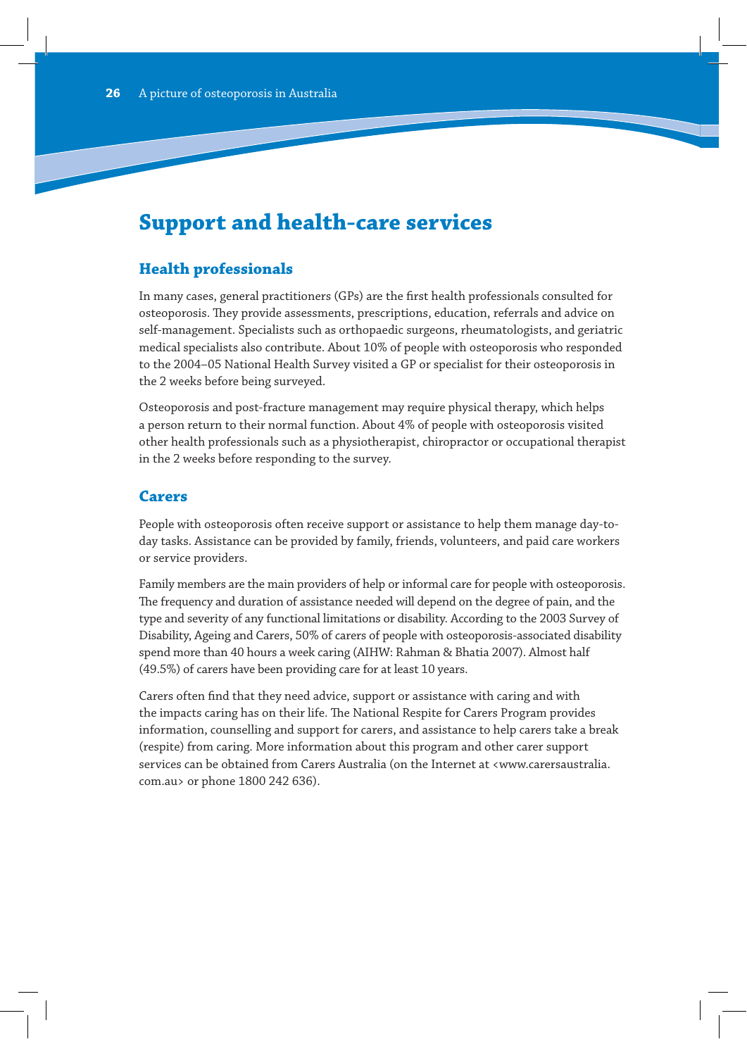# **Support and health-care services**

# **Health professionals**

In many cases, general practitioners (GPs) are the first health professionals consulted for osteoporosis. They provide assessments, prescriptions, education, referrals and advice on self-management. Specialists such as orthopaedic surgeons, rheumatologists, and geriatric medical specialists also contribute. About 10% of people with osteoporosis who responded to the 2004–05 National Health Survey visited a GP or specialist for their osteoporosis in the 2 weeks before being surveyed.

Osteoporosis and post-fracture management may require physical therapy, which helps a person return to their normal function. About 4% of people with osteoporosis visited other health professionals such as a physiotherapist, chiropractor or occupational therapist in the 2 weeks before responding to the survey.

### **Carers**

People with osteoporosis often receive support or assistance to help them manage day-today tasks. Assistance can be provided by family, friends, volunteers, and paid care workers or service providers.

Family members are the main providers of help or informal care for people with osteoporosis. The frequency and duration of assistance needed will depend on the degree of pain, and the type and severity of any functional limitations or disability. According to the 2003 Survey of Disability, Ageing and Carers, 50% of carers of people with osteoporosis-associated disability spend more than 40 hours a week caring (AIHW: Rahman & Bhatia 2007). Almost half (49.5%) of carers have been providing care for at least 10 years.

Carers often find that they need advice, support or assistance with caring and with the impacts caring has on their life. The National Respite for Carers Program provides information, counselling and support for carers, and assistance to help carers take a break (respite) from caring. More information about this program and other carer support services can be obtained from Carers Australia (on the Internet at <www.carersaustralia. com.au> or phone 1800 242 636).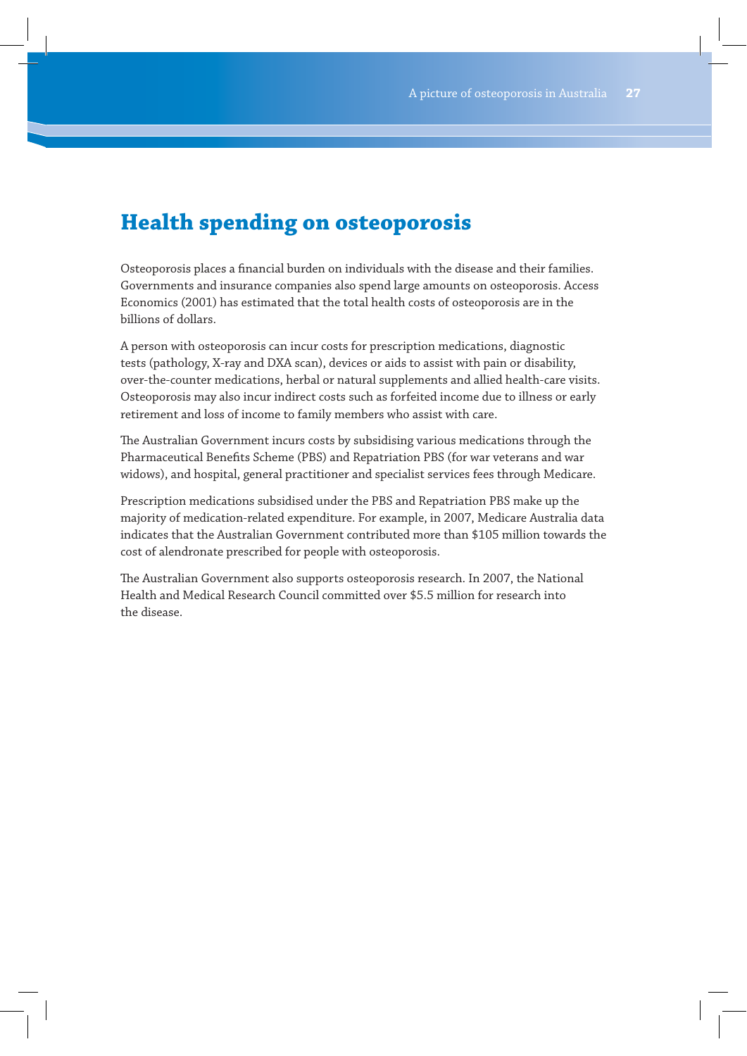# **Health spending on osteoporosis**

Osteoporosis places a financial burden on individuals with the disease and their families. Governments and insurance companies also spend large amounts on osteoporosis. Access Economics (2001) has estimated that the total health costs of osteoporosis are in the billions of dollars.

A person with osteoporosis can incur costs for prescription medications, diagnostic tests (pathology, X-ray and DXA scan), devices or aids to assist with pain or disability, over-the-counter medications, herbal or natural supplements and allied health-care visits. Osteoporosis may also incur indirect costs such as forfeited income due to illness or early retirement and loss of income to family members who assist with care.

The Australian Government incurs costs by subsidising various medications through the Pharmaceutical Benefits Scheme (PBS) and Repatriation PBS (for war veterans and war widows), and hospital, general practitioner and specialist services fees through Medicare.

Prescription medications subsidised under the PBS and Repatriation PBS make up the majority of medication-related expenditure. For example, in 2007, Medicare Australia data indicates that the Australian Government contributed more than \$105 million towards the cost of alendronate prescribed for people with osteoporosis.

The Australian Government also supports osteoporosis research. In 2007, the National Health and Medical Research Council committed over \$5.5 million for research into the disease.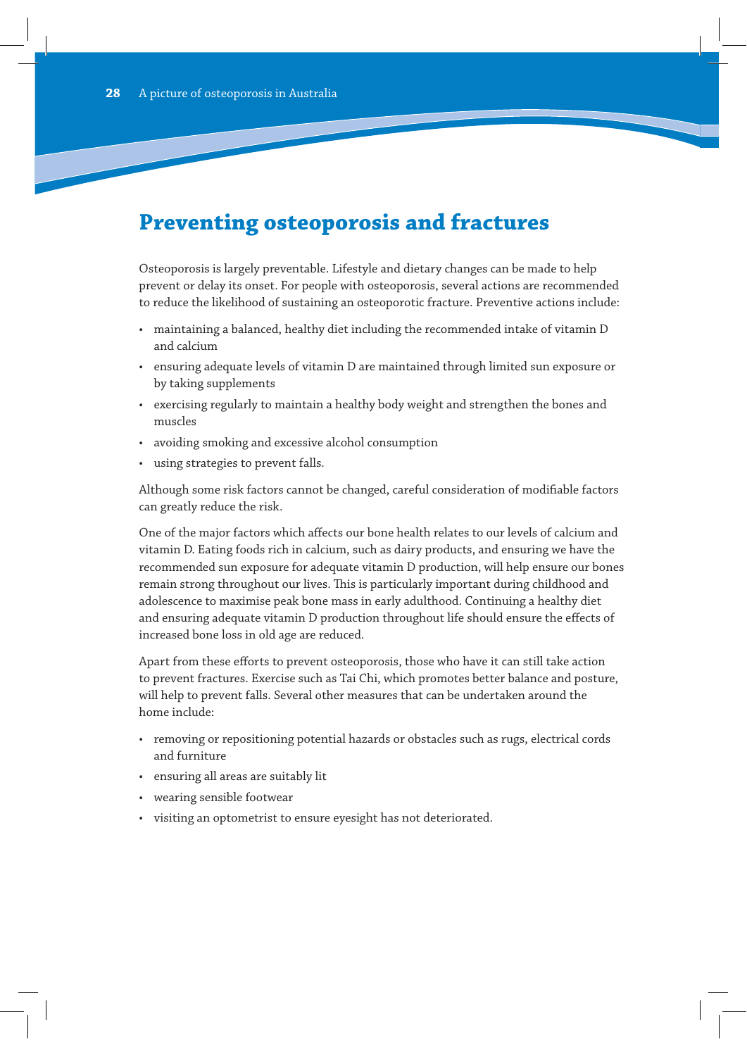# **Preventing osteoporosis and fractures**

Osteoporosis is largely preventable. Lifestyle and dietary changes can be made to help prevent or delay its onset. For people with osteoporosis, several actions are recommended to reduce the likelihood of sustaining an osteoporotic fracture. Preventive actions include:

- maintaining a balanced, healthy diet including the recommended intake of vitamin D and calcium
- ensuring adequate levels of vitamin D are maintained through limited sun exposure or by taking supplements
- exercising regularly to maintain a healthy body weight and strengthen the bones and muscles
- avoiding smoking and excessive alcohol consumption
- using strategies to prevent falls.

Although some risk factors cannot be changed, careful consideration of modifiable factors can greatly reduce the risk.

One of the major factors which affects our bone health relates to our levels of calcium and vitamin D. Eating foods rich in calcium, such as dairy products, and ensuring we have the recommended sun exposure for adequate vitamin D production, will help ensure our bones remain strong throughout our lives. This is particularly important during childhood and adolescence to maximise peak bone mass in early adulthood. Continuing a healthy diet and ensuring adequate vitamin D production throughout life should ensure the effects of increased bone loss in old age are reduced.

Apart from these efforts to prevent osteoporosis, those who have it can still take action to prevent fractures. Exercise such as Tai Chi, which promotes better balance and posture, will help to prevent falls. Several other measures that can be undertaken around the home include:

- removing or repositioning potential hazards or obstacles such as rugs, electrical cords and furniture
- ensuring all areas are suitably lit
- wearing sensible footwear
- visiting an optometrist to ensure eyesight has not deteriorated.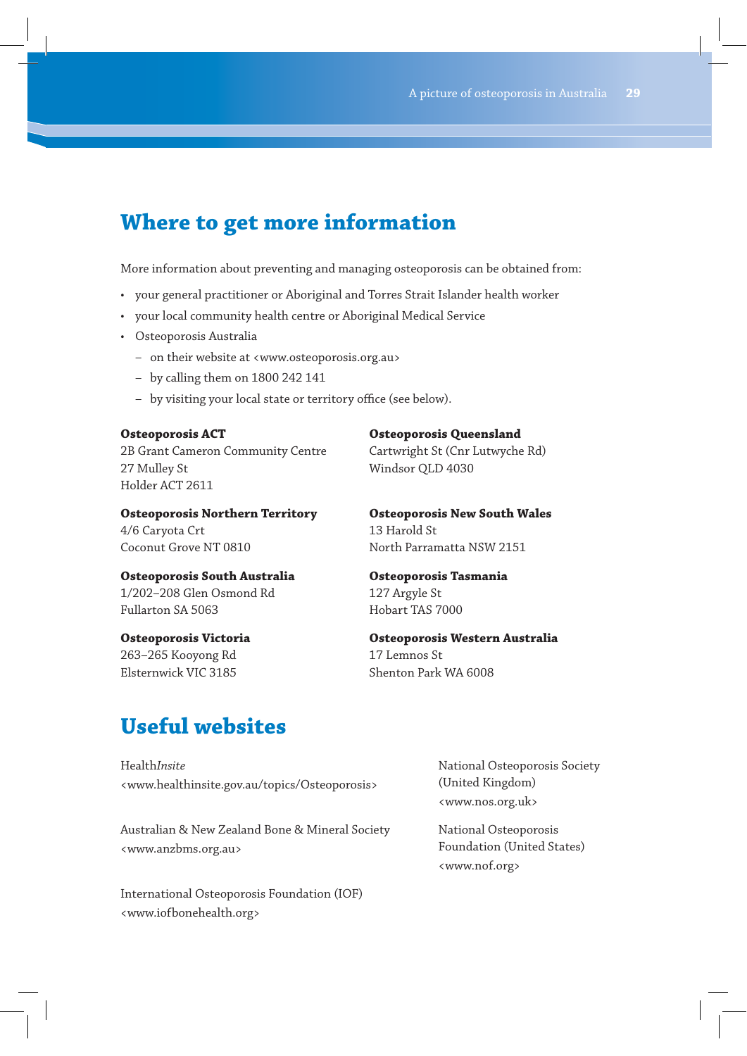# **Where to get more information**

More information about preventing and managing osteoporosis can be obtained from:

- your general practitioner or Aboriginal and Torres Strait Islander health worker
- your local community health centre or Aboriginal Medical Service
- Osteoporosis Australia
	- on their website at <www.osteoporosis.org.au>
	- by calling them on 1800 242 141
	- by visiting your local state or territory office (see below).

### **Osteoporosis ACT**

2B Grant Cameron Community Centre 27 Mulley St Holder ACT 2611

**Osteoporosis Northern Territory**  4/6 Caryota Crt

Coconut Grove NT 0810

**Osteoporosis Queensland** 

Cartwright St (Cnr Lutwyche Rd) Windsor QLD 4030

**Osteoporosis New South Wales**  13 Harold St North Parramatta NSW 2151

**Osteoporosis South Australia**  1/202–208 Glen Osmond Rd Fullarton SA 5063

**Osteoporosis Victoria**  263–265 Kooyong Rd Elsternwick VIC 3185

**Osteoporosis Tasmania** 

127 Argyle St Hobart TAS 7000

**Osteoporosis Western Australia**  17 Lemnos St Shenton Park WA 6008

# **Useful websites**

Health*Insite* <www.healthinsite.gov.au/topics/Osteoporosis>

Australian & New Zealand Bone & Mineral Society <www.anzbms.org.au>

International Osteoporosis Foundation (IOF) <www.iofbonehealth.org>

National Osteoporosis Society (United Kingdom) <www.nos.org.uk>

National Osteoporosis Foundation (United States) <www.nof.org>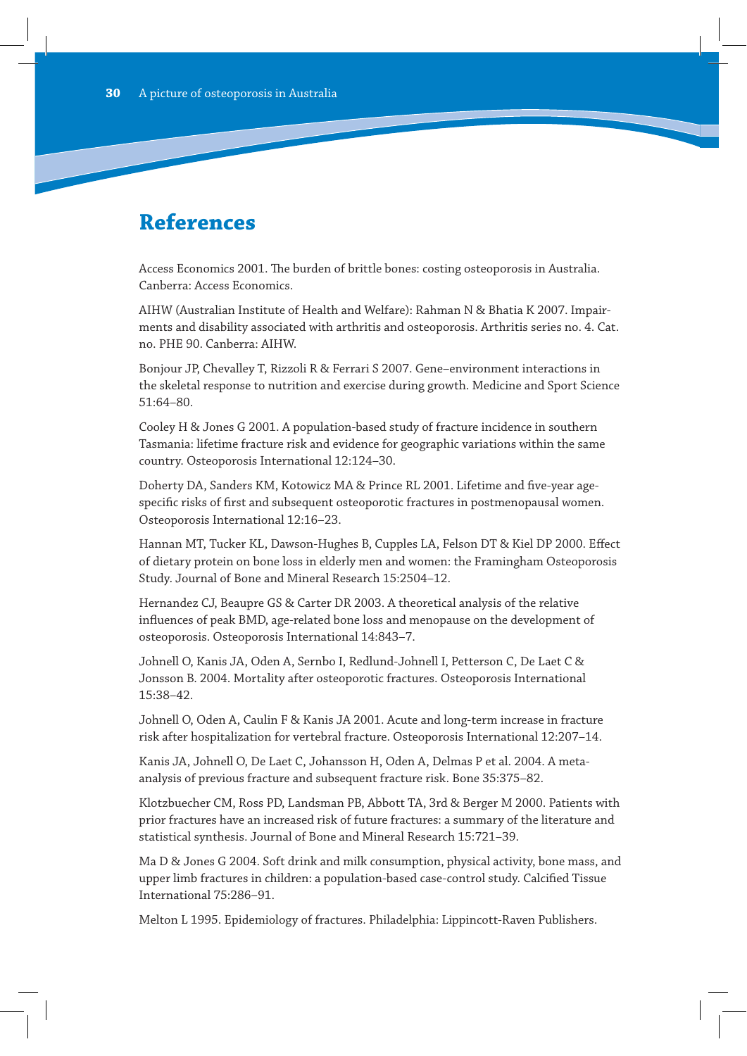# **References**

Access Economics 2001. The burden of brittle bones: costing osteoporosis in Australia. Canberra: Access Economics.

AIHW (Australian Institute of Health and Welfare): Rahman N & Bhatia K 2007. Impairments and disability associated with arthritis and osteoporosis. Arthritis series no. 4. Cat. no. PHE 90. Canberra: AIHW.

Bonjour JP, Chevalley T, Rizzoli R & Ferrari S 2007. Gene–environment interactions in the skeletal response to nutrition and exercise during growth. Medicine and Sport Science 51:64–80.

Cooley H & Jones G 2001. A population-based study of fracture incidence in southern Tasmania: lifetime fracture risk and evidence for geographic variations within the same country. Osteoporosis International 12:124–30.

Doherty DA, Sanders KM, Kotowicz MA & Prince RL 2001. Lifetime and five-year agespecific risks of first and subsequent osteoporotic fractures in postmenopausal women. Osteoporosis International 12:16–23.

Hannan MT, Tucker KL, Dawson-Hughes B, Cupples LA, Felson DT & Kiel DP 2000. Effect of dietary protein on bone loss in elderly men and women: the Framingham Osteoporosis Study. Journal of Bone and Mineral Research 15:2504–12.

Hernandez CJ, Beaupre GS & Carter DR 2003. A theoretical analysis of the relative influences of peak BMD, age-related bone loss and menopause on the development of osteoporosis. Osteoporosis International 14:843–7.

Johnell O, Kanis JA, Oden A, Sernbo I, Redlund-Johnell I, Petterson C, De Laet C & Jonsson B. 2004. Mortality after osteoporotic fractures. Osteoporosis International 15:38–42.

Johnell O, Oden A, Caulin F & Kanis JA 2001. Acute and long-term increase in fracture risk after hospitalization for vertebral fracture. Osteoporosis International 12:207–14.

Kanis JA, Johnell O, De Laet C, Johansson H, Oden A, Delmas P et al. 2004. A metaanalysis of previous fracture and subsequent fracture risk. Bone 35:375–82.

Klotzbuecher CM, Ross PD, Landsman PB, Abbott TA, 3rd & Berger M 2000. Patients with prior fractures have an increased risk of future fractures: a summary of the literature and statistical synthesis. Journal of Bone and Mineral Research 15:721–39.

Ma D & Jones G 2004. Soft drink and milk consumption, physical activity, bone mass, and upper limb fractures in children: a population-based case-control study. Calcified Tissue International 75:286–91.

Melton L 1995. Epidemiology of fractures. Philadelphia: Lippincott-Raven Publishers.